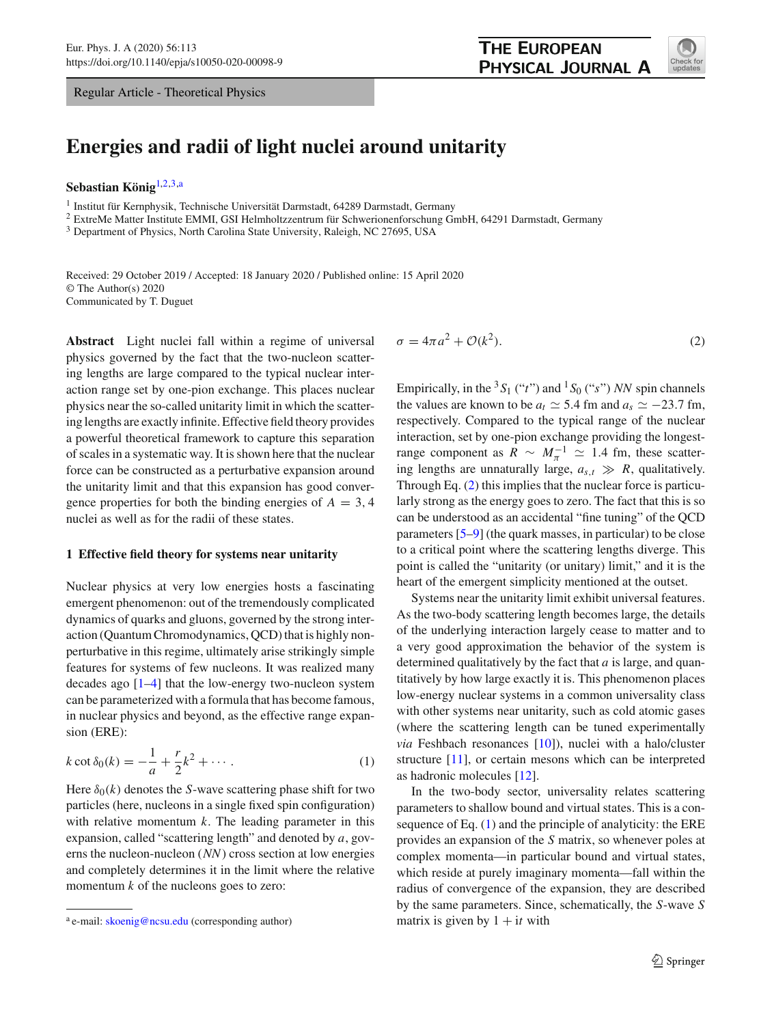Regular Article - Theoretical Physics

# **Energies and radii of light nuclei around unitarity**

**Sebastian König**[1,2](#page-0-0)[,3,](#page-0-1)a

<sup>1</sup> Institut für Kernphysik, Technische Universität Darmstadt, 64289 Darmstadt, Germany

<sup>2</sup> ExtreMe Matter Institute EMMI, GSI Helmholtzzentrum für Schwerionenforschung GmbH, 64291 Darmstadt, Germany

<sup>3</sup> Department of Physics, North Carolina State University, Raleigh, NC 27695, USA

Received: 29 October 2019 / Accepted: 18 January 2020 / Published online: 15 April 2020 © The Author(s) 2020 Communicated by T. Duguet

**Abstract** Light nuclei fall within a regime of universal physics governed by the fact that the two-nucleon scattering lengths are large compared to the typical nuclear interaction range set by one-pion exchange. This places nuclear physics near the so-called unitarity limit in which the scattering lengths are exactly infinite. Effective field theory provides a powerful theoretical framework to capture this separation of scales in a systematic way. It is shown here that the nuclear force can be constructed as a perturbative expansion around the unitarity limit and that this expansion has good convergence properties for both the binding energies of  $A = 3, 4$ nuclei as well as for the radii of these states.

#### <span id="page-0-4"></span>**1 Effective field theory for systems near unitarity**

Nuclear physics at very low energies hosts a fascinating emergent phenomenon: out of the tremendously complicated dynamics of quarks and gluons, governed by the strong interaction (Quantum Chromodynamics, QCD) that is highly nonperturbative in this regime, ultimately arise strikingly simple features for systems of few nucleons. It was realized many decades ago [\[1](#page-13-0)[–4](#page-13-1)] that the low-energy two-nucleon system can be parameterized with a formula that has become famous, in nuclear physics and beyond, as the effective range expansion (ERE):

<span id="page-0-3"></span>
$$
k \cot \delta_0(k) = -\frac{1}{a} + \frac{r}{2}k^2 + \cdots.
$$
 (1)

Here  $\delta_0(k)$  denotes the *S*-wave scattering phase shift for two particles (here, nucleons in a single fixed spin configuration) with relative momentum *k*. The leading parameter in this expansion, called "scattering length" and denoted by *a*, governs the nucleon-nucleon (*NN*) cross section at low energies and completely determines it in the limit where the relative momentum *k* of the nucleons goes to zero:

<span id="page-0-2"></span><span id="page-0-0"></span>
$$
\sigma = 4\pi a^2 + \mathcal{O}(k^2). \tag{2}
$$

Empirically, in the  ${}^3S_1$  ("*t*") and  ${}^1S_0$  ("*s*") *NN* spin channels the values are known to be  $a_t \simeq 5.4$  fm and  $a_s \simeq -23.7$  fm, respectively. Compared to the typical range of the nuclear interaction, set by one-pion exchange providing the longestrange component as  $R \sim M_{\pi}^{-1} \simeq 1.4$  fm, these scattering lengths are unnaturally large,  $a_{s,t} \gg R$ , qualitatively. Through Eq. [\(2\)](#page-0-2) this implies that the nuclear force is particularly strong as the energy goes to zero. The fact that this is so can be understood as an accidental "fine tuning" of the QCD parameters [\[5](#page-13-2)[–9](#page-13-3)] (the quark masses, in particular) to be close to a critical point where the scattering lengths diverge. This point is called the "unitarity (or unitary) limit," and it is the heart of the emergent simplicity mentioned at the outset.

Systems near the unitarity limit exhibit universal features. As the two-body scattering length becomes large, the details of the underlying interaction largely cease to matter and to a very good approximation the behavior of the system is determined qualitatively by the fact that *a* is large, and quantitatively by how large exactly it is. This phenomenon places low-energy nuclear systems in a common universality class with other systems near unitarity, such as cold atomic gases (where the scattering length can be tuned experimentally *via* Feshbach resonances [\[10](#page-13-4)]), nuclei with a halo/cluster structure [\[11\]](#page-13-5), or certain mesons which can be interpreted as hadronic molecules [\[12](#page-13-6)].

In the two-body sector, universality relates scattering parameters to shallow bound and virtual states. This is a consequence of Eq. [\(1\)](#page-0-3) and the principle of analyticity: the ERE provides an expansion of the *S* matrix, so whenever poles at complex momenta—in particular bound and virtual states, which reside at purely imaginary momenta—fall within the radius of convergence of the expansion, they are described by the same parameters. Since, schematically, the *S*-wave *S* matrix is given by  $1 + it$  with

<span id="page-0-1"></span>

<sup>&</sup>lt;sup>a</sup> e-mail: [skoenig@ncsu.edu](mailto:skoenig@ncsu.edu) (corresponding author)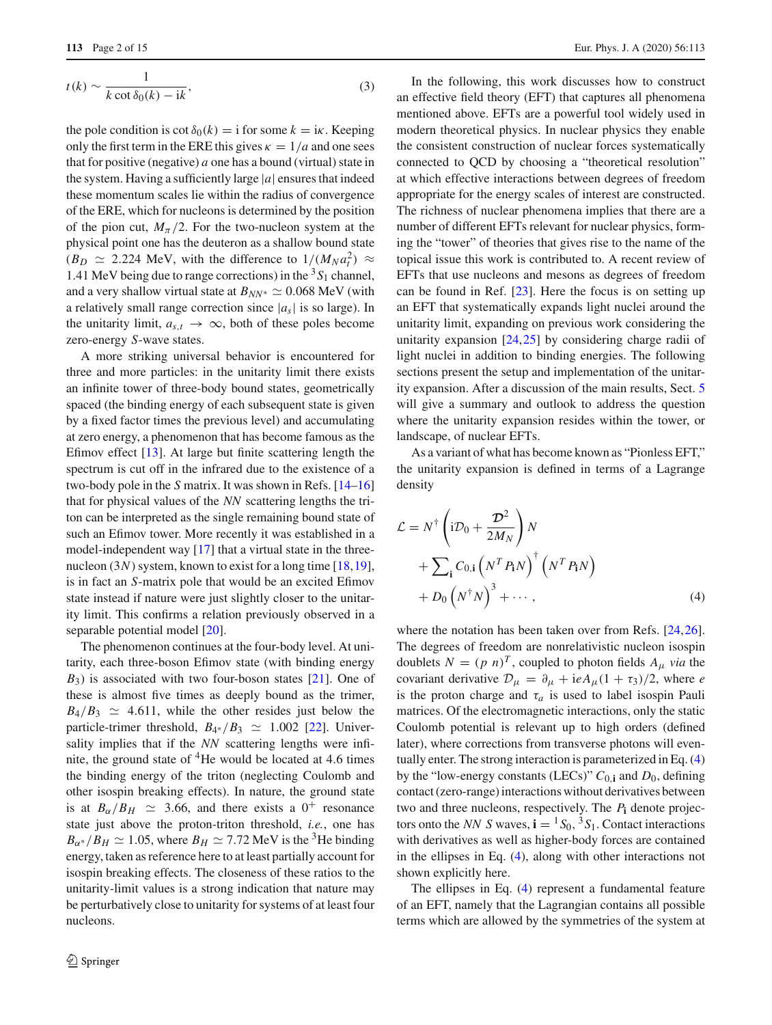$$
t(k) \sim \frac{1}{k \cot \delta_0(k) - ik},\tag{3}
$$

the pole condition is cot  $\delta_0(k) = i$  for some  $k = i\kappa$ . Keeping only the first term in the ERE this gives  $\kappa = 1/a$  and one sees that for positive (negative) *a* one has a bound (virtual) state in the system. Having a sufficiently large |*a*| ensures that indeed these momentum scales lie within the radius of convergence of the ERE, which for nucleons is determined by the position of the pion cut,  $M_\pi/2$ . For the two-nucleon system at the physical point one has the deuteron as a shallow bound state  $(B_D \simeq 2.224 \text{ MeV}, \text{ with the difference to } 1/(M_N a_t^2) \approx$ 1.41 MeV being due to range corrections) in the  ${}^{3}S_1$  channel, and a very shallow virtual state at  $B_{NN^*} \simeq 0.068 \text{ MeV (with)}$ a relatively small range correction since  $|a_s|$  is so large). In the unitarity limit,  $a_{s,t} \rightarrow \infty$ , both of these poles become zero-energy *S*-wave states.

A more striking universal behavior is encountered for three and more particles: in the unitarity limit there exists an infinite tower of three-body bound states, geometrically spaced (the binding energy of each subsequent state is given by a fixed factor times the previous level) and accumulating at zero energy, a phenomenon that has become famous as the Efimov effect [\[13](#page-13-7)]. At large but finite scattering length the spectrum is cut off in the infrared due to the existence of a two-body pole in the *S* matrix. It was shown in Refs. [\[14](#page-13-8)[–16\]](#page-13-9) that for physical values of the *NN* scattering lengths the triton can be interpreted as the single remaining bound state of such an Efimov tower. More recently it was established in a model-independent way [\[17](#page-13-10)] that a virtual state in the threenucleon (3*N*) system, known to exist for a long time [\[18](#page-13-11)[,19](#page-13-12)], is in fact an *S*-matrix pole that would be an excited Efimov state instead if nature were just slightly closer to the unitarity limit. This confirms a relation previously observed in a separable potential model [\[20](#page-13-13)].

The phenomenon continues at the four-body level. At unitarity, each three-boson Efimov state (with binding energy *B*3) is associated with two four-boson states [\[21\]](#page-13-14). One of these is almost five times as deeply bound as the trimer,  $B_4/B_3 \simeq 4.611$ , while the other resides just below the particle-trimer threshold,  $B_{4*}/B_3 \simeq 1.002$  [\[22](#page-13-15)]. Universality implies that if the *NN* scattering lengths were infinite, the ground state of  ${}^{4}$ He would be located at 4.6 times the binding energy of the triton (neglecting Coulomb and other isospin breaking effects). In nature, the ground state is at  $B_{\alpha}/B_H \simeq 3.66$ , and there exists a  $0^+$  resonance state just above the proton-triton threshold, *i.e.*, one has  $B_{\alpha^*}/B_H \simeq 1.05$ , where  $B_H \simeq 7.72$  MeV is the <sup>3</sup>He binding energy, taken as reference here to at least partially account for isospin breaking effects. The closeness of these ratios to the unitarity-limit values is a strong indication that nature may be perturbatively close to unitarity for systems of at least four nucleons.

In the following, this work discusses how to construct an effective field theory (EFT) that captures all phenomena mentioned above. EFTs are a powerful tool widely used in modern theoretical physics. In nuclear physics they enable the consistent construction of nuclear forces systematically connected to QCD by choosing a "theoretical resolution" at which effective interactions between degrees of freedom appropriate for the energy scales of interest are constructed. The richness of nuclear phenomena implies that there are a number of different EFTs relevant for nuclear physics, forming the "tower" of theories that gives rise to the name of the topical issue this work is contributed to. A recent review of EFTs that use nucleons and mesons as degrees of freedom can be found in Ref.  $[23]$ . Here the focus is on setting up an EFT that systematically expands light nuclei around the unitarity limit, expanding on previous work considering the unitarity expansion [\[24,](#page-13-17)[25\]](#page-13-18) by considering charge radii of light nuclei in addition to binding energies. The following sections present the setup and implementation of the unitarity expansion. After a discussion of the main results, Sect. [5](#page-9-0) will give a summary and outlook to address the question where the unitarity expansion resides within the tower, or landscape, of nuclear EFTs.

As a variant of what has become known as "Pionless EFT," the unitarity expansion is defined in terms of a Lagrange density

<span id="page-1-0"></span>
$$
\mathcal{L} = N^{\dagger} \left( i\mathcal{D}_0 + \frac{\mathcal{D}^2}{2M_N} \right) N \n+ \sum_{\mathbf{i}} C_{0,\mathbf{i}} \left( N^T P_{\mathbf{i}} N \right)^{\dagger} \left( N^T P_{\mathbf{i}} N \right) \n+ D_0 \left( N^{\dagger} N \right)^3 + \cdots, \tag{4}
$$

where the notation has been taken over from Refs. [\[24](#page-13-17)[,26](#page-13-19)]. The degrees of freedom are nonrelativistic nucleon isospin doublets  $N = (p \; n)^T$ , coupled to photon fields  $A_\mu$  *via* the covariant derivative  $\mathcal{D}_{\mu} = \partial_{\mu} + i e A_{\mu} (1 + \tau_3)/2$ , where *e* is the proton charge and  $\tau_a$  is used to label isospin Pauli matrices. Of the electromagnetic interactions, only the static Coulomb potential is relevant up to high orders (defined later), where corrections from transverse photons will eventually enter. The strong interaction is parameterized in Eq. [\(4\)](#page-1-0) by the "low-energy constants (LECs)" *C*0,**<sup>i</sup>** and *D*0, defining contact (zero-range) interactions without derivatives between two and three nucleons, respectively. The *P***<sup>i</sup>** denote projectors onto the *NN S* waves,  $\mathbf{i} = {}^1S_0, {}^3S_1$ . Contact interactions with derivatives as well as higher-body forces are contained in the ellipses in Eq. [\(4\)](#page-1-0), along with other interactions not shown explicitly here.

The ellipses in Eq. [\(4\)](#page-1-0) represent a fundamental feature of an EFT, namely that the Lagrangian contains all possible terms which are allowed by the symmetries of the system at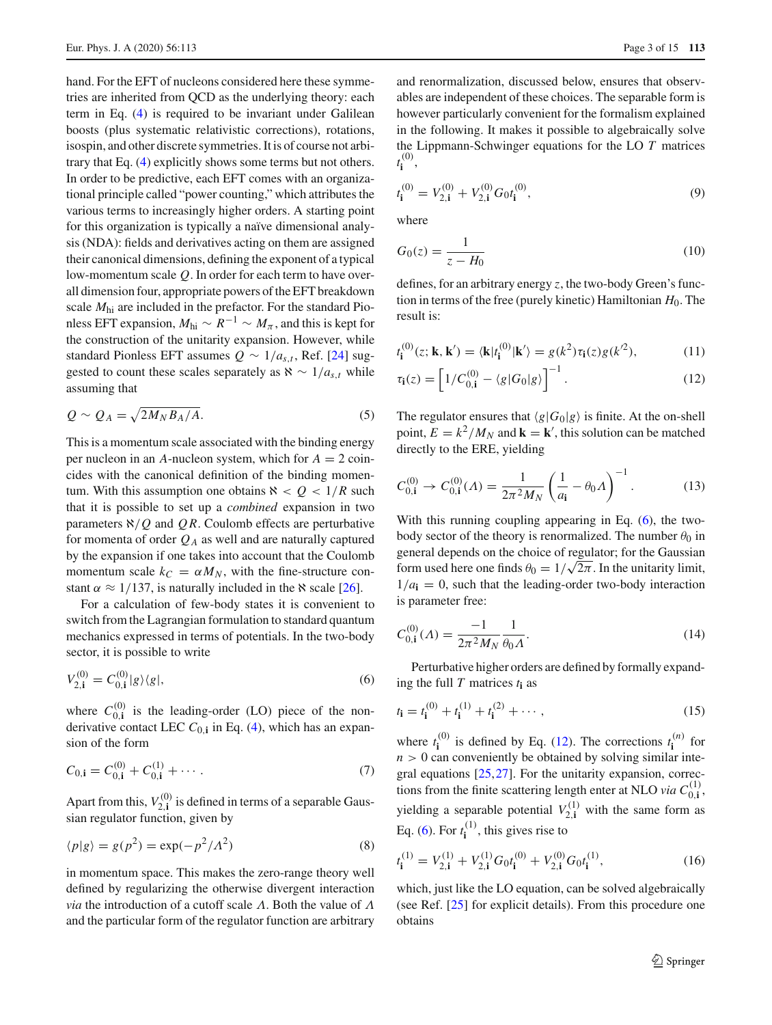hand. For the EFT of nucleons considered here these symmetries are inherited from QCD as the underlying theory: each term in Eq. [\(4\)](#page-1-0) is required to be invariant under Galilean boosts (plus systematic relativistic corrections), rotations, isospin, and other discrete symmetries. It is of course not arbitrary that Eq. [\(4\)](#page-1-0) explicitly shows some terms but not others. In order to be predictive, each EFT comes with an organizational principle called "power counting," which attributes the various terms to increasingly higher orders. A starting point for this organization is typically a naïve dimensional analysis (NDA): fields and derivatives acting on them are assigned their canonical dimensions, defining the exponent of a typical low-momentum scale *Q*. In order for each term to have overall dimension four, appropriate powers of the EFT breakdown scale *M*hi are included in the prefactor. For the standard Pionless EFT expansion,  $M_{\text{hi}} \sim R^{-1} \sim M_{\pi}$ , and this is kept for the construction of the unitarity expansion. However, while standard Pionless EFT assumes  $Q \sim 1/a_{s,t}$ , Ref. [\[24\]](#page-13-17) suggested to count these scales separately as  $\aleph \sim 1/a_{s,t}$  while assuming that

<span id="page-2-3"></span>
$$
Q \sim Q_A = \sqrt{2M_N B_A/A}.\tag{5}
$$

This is a momentum scale associated with the binding energy per nucleon in an  $A$ -nucleon system, which for  $A = 2$  coincides with the canonical definition of the binding momentum. With this assumption one obtains  $\aleph < Q < 1/R$  such that it is possible to set up a *combined* expansion in two parameters  $\aleph/Q$  and QR. Coulomb effects are perturbative for momenta of order  $Q_A$  as well and are naturally captured by the expansion if one takes into account that the Coulomb momentum scale  $k_C = \alpha M_N$ , with the fine-structure constant  $\alpha \approx 1/137$ , is naturally included in the  $\aleph$  scale [\[26\]](#page-13-19).

For a calculation of few-body states it is convenient to switch from the Lagrangian formulation to standard quantum mechanics expressed in terms of potentials. In the two-body sector, it is possible to write

<span id="page-2-0"></span>
$$
V_{2,i}^{(0)} = C_{0,i}^{(0)} |g\rangle\langle g|,\tag{6}
$$

where  $C_{0,i}^{(0)}$  is the leading-order (LO) piece of the nonderivative contact LEC  $C_{0,i}$  in Eq. [\(4\)](#page-1-0), which has an expansion of the form

$$
C_{0,i} = C_{0,i}^{(0)} + C_{0,i}^{(1)} + \cdots
$$
 (7)

Apart from this,  $V_{2,i}^{(0)}$  is defined in terms of a separable Gaussian regulator function, given by

$$
\langle p|g \rangle = g(p^2) = \exp(-p^2/\Lambda^2)
$$
 (8)

in momentum space. This makes the zero-range theory well defined by regularizing the otherwise divergent interaction *via* the introduction of a cutoff scale Λ. Both the value of Λ and the particular form of the regulator function are arbitrary and renormalization, discussed below, ensures that observables are independent of these choices. The separable form is however particularly convenient for the formalism explained in the following. It makes it possible to algebraically solve the Lippmann-Schwinger equations for the LO *T* matrices  $t_i^{(0)}$ ,

$$
t_{\mathbf{i}}^{(0)} = V_{2,\mathbf{i}}^{(0)} + V_{2,\mathbf{i}}^{(0)} G_0 t_{\mathbf{i}}^{(0)},\tag{9}
$$

where

$$
G_0(z) = \frac{1}{z - H_0} \tag{10}
$$

defines, for an arbitrary energy *z*, the two-body Green's function in terms of the free (purely kinetic) Hamiltonian *H*0. The result is:

<span id="page-2-1"></span>
$$
t_{\mathbf{i}}^{(0)}(z; \mathbf{k}, \mathbf{k}') = \langle \mathbf{k} | t_{\mathbf{i}}^{(0)} | \mathbf{k}' \rangle = g(k^2) \tau_{\mathbf{i}}(z) g(k^2), \tag{11}
$$

$$
\tau_{\mathbf{i}}(z) = \left[1/C_{0,\mathbf{i}}^{(0)} - \langle g|G_0|g\rangle\right]^{-1}.
$$
 (12)

The regulator ensures that  $\langle g | G_0 | g \rangle$  is finite. At the on-shell point,  $E = k^2/M_N$  and  $\mathbf{k} = \mathbf{k}'$ , this solution can be matched directly to the ERE, yielding

$$
C_{0,1}^{(0)} \to C_{0,1}^{(0)}(A) = \frac{1}{2\pi^2 M_N} \left(\frac{1}{a_{\mathbf{i}}} - \theta_0 A\right)^{-1}.\tag{13}
$$

With this running coupling appearing in Eq. [\(6\)](#page-2-0), the twobody sector of the theory is renormalized. The number  $\theta_0$  in general depends on the choice of regulator; for the Gaussian form used here one finds  $\theta_0 = 1/\sqrt{2\pi}$ . In the unitarity limit,  $1/a_i = 0$ , such that the leading-order two-body interaction is parameter free:

$$
C_{0,1}^{(0)}(A) = \frac{-1}{2\pi^2 M_N} \frac{1}{\theta_0 A}.
$$
 (14)

Perturbative higher orders are defined by formally expanding the full *T* matrices  $t_i$  as

$$
t_{\mathbf{i}} = t_{\mathbf{i}}^{(0)} + t_{\mathbf{i}}^{(1)} + t_{\mathbf{i}}^{(2)} + \cdots, \tag{15}
$$

where  $t_i^{(0)}$  is defined by Eq. [\(12\)](#page-2-1). The corrections  $t_i^{(n)}$  for  $n > 0$  can conveniently be obtained by solving similar integral equations [\[25](#page-13-18),[27](#page-13-20)]. For the unitarity expansion, corrections from the finite scattering length enter at NLO *via*  $C_{0,1}^{(1)}$ , yielding a separable potential  $V_{2,i}^{(1)}$  with the same form as Eq. [\(6\)](#page-2-0). For  $t_i^{(1)}$ , this gives rise to

<span id="page-2-2"></span>
$$
t_{\mathbf{i}}^{(1)} = V_{2,\mathbf{i}}^{(1)} + V_{2,\mathbf{i}}^{(1)} G_0 t_{\mathbf{i}}^{(0)} + V_{2,\mathbf{i}}^{(0)} G_0 t_{\mathbf{i}}^{(1)},\tag{16}
$$

which, just like the LO equation, can be solved algebraically (see Ref. [\[25\]](#page-13-18) for explicit details). From this procedure one obtains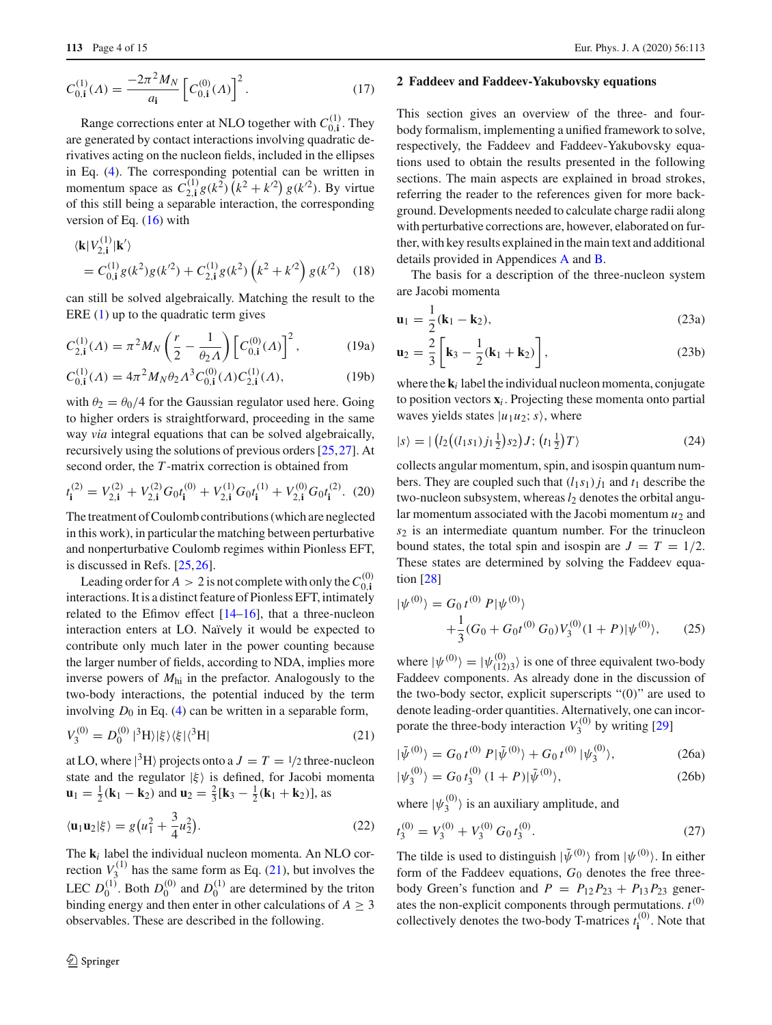$$
C_{0,1}^{(1)}(A) = \frac{-2\pi^2 M_N}{a_{\mathbf{i}}} \left[ C_{0,1}^{(0)}(A) \right]^2.
$$
 (17)

Range corrections enter at NLO together with  $C_{0,\mathbf{i}}^{(1)}$ . They are generated by contact interactions involving quadratic derivatives acting on the nucleon fields, included in the ellipses in Eq. [\(4\)](#page-1-0). The corresponding potential can be written in momentum space as  $\hat{C}_{2,1}^{(1)}g(k^2)(k^2 + k^2)g(k^2)$ . By virtue of this still being a separable interaction, the corresponding version of Eq.  $(16)$  with

$$
\langle \mathbf{k} | V_{2, \mathbf{i}}^{(1)} | \mathbf{k}' \rangle
$$
  
=  $C_{0, \mathbf{i}}^{(1)} g(k^2) g(k'^2) + C_{2, \mathbf{i}}^{(1)} g(k^2) (k^2 + k'^2) g(k'^2)$  (18)

can still be solved algebraically. Matching the result to the ERE  $(1)$  up to the quadratic term gives

$$
C_{2,\mathbf{i}}^{(1)}(A) = \pi^2 M_N \left(\frac{r}{2} - \frac{1}{\theta_2 A}\right) \left[C_{0,\mathbf{i}}^{(0)}(A)\right]^2, \tag{19a}
$$

$$
C_{0,1}^{(1)}(A) = 4\pi^2 M_N \theta_2 A^3 C_{0,1}^{(0)}(A) C_{2,1}^{(1)}(A),
$$
 (19b)

with  $\theta_2 = \theta_0/4$  for the Gaussian regulator used here. Going to higher orders is straightforward, proceeding in the same way *via* integral equations that can be solved algebraically, recursively using the solutions of previous orders [\[25](#page-13-18),[27\]](#page-13-20). At second order, the *T* -matrix correction is obtained from

$$
t_{\mathbf{i}}^{(2)} = V_{2,\mathbf{i}}^{(2)} + V_{2,\mathbf{i}}^{(2)} G_0 t_{\mathbf{i}}^{(0)} + V_{2,\mathbf{i}}^{(1)} G_0 t_{\mathbf{i}}^{(1)} + V_{2,\mathbf{i}}^{(0)} G_0 t_{\mathbf{i}}^{(2)}.
$$
 (20)

The treatment of Coulomb contributions (which are neglected in this work), in particular the matching between perturbative and nonperturbative Coulomb regimes within Pionless EFT, is discussed in Refs. [\[25,](#page-13-18)[26\]](#page-13-19).

Leading order for  $A > 2$  is not complete with only the  $C_{0,i}^{(0)}$ interactions. It is a distinct feature of Pionless EFT, intimately related to the Efimov effect [\[14](#page-13-8)[–16](#page-13-9)], that a three-nucleon interaction enters at LO. Naïvely it would be expected to contribute only much later in the power counting because the larger number of fields, according to NDA, implies more inverse powers of *M*hi in the prefactor. Analogously to the two-body interactions, the potential induced by the term involving  $D_0$  in Eq. [\(4\)](#page-1-0) can be written in a separable form,

<span id="page-3-0"></span>
$$
V_3^{(0)} = D_0^{(0)} |^{3} \text{H} \rangle |\xi\rangle\langle\xi| \langle ^{3} \text{H} |
$$
 (21)

at LO, where  $|^{3}$ H $\rangle$  projects onto a  $J = T = \frac{1}{2}$  three-nucleon state and the regulator  $|\xi\rangle$  is defined, for Jacobi momenta **u**<sub>1</sub> =  $\frac{1}{2}$  (**k**<sub>1</sub> − **k**<sub>2</sub>) and **u**<sub>2</sub> =  $\frac{2}{3}$  [**k**<sub>3</sub> −  $\frac{1}{2}$  (**k**<sub>1</sub> + **k**<sub>2</sub>)], as

$$
\langle \mathbf{u}_1 \mathbf{u}_2 | \xi \rangle = g \big( u_1^2 + \frac{3}{4} u_2^2 \big). \tag{22}
$$

The **k***<sup>i</sup>* label the individual nucleon momenta. An NLO correction  $V_3^{(1)}$  has the same form as Eq. [\(21\)](#page-3-0), but involves the LEC  $D_0^{(1)}$ . Both  $D_0^{(0)}$  and  $D_0^{(1)}$  are determined by the triton binding energy and then enter in other calculations of  $A \geq 3$ observables. These are described in the following.

#### <span id="page-3-1"></span>**2 Faddeev and Faddeev-Yakubovsky equations**

This section gives an overview of the three- and fourbody formalism, implementing a unified framework to solve, respectively, the Faddeev and Faddeev-Yakubovsky equations used to obtain the results presented in the following sections. The main aspects are explained in broad strokes, referring the reader to the references given for more background. Developments needed to calculate charge radii along with perturbative corrections are, however, elaborated on further, with key results explained in the main text and additional details provided in Appendices [A](#page-0-4) and [B.](#page-3-1)

The basis for a description of the three-nucleon system are Jacobi momenta

$$
\mathbf{u}_1 = \frac{1}{2}(\mathbf{k}_1 - \mathbf{k}_2),\tag{23a}
$$

$$
\mathbf{u}_2 = \frac{2}{3} \left[ \mathbf{k}_3 - \frac{1}{2} (\mathbf{k}_1 + \mathbf{k}_2) \right],\tag{23b}
$$

where the  $\mathbf{k}_i$  label the individual nucleon momenta, conjugate to position vectors  $\mathbf{x}_i$ . Projecting these momenta onto partial waves yields states  $|u_1u_2; s\rangle$ , where

<span id="page-3-5"></span>
$$
|s\rangle = | (l_2((l_1s_1)j_1\frac{1}{2})s_2)J; (t_1\frac{1}{2})T \rangle
$$
 (24)

collects angular momentum, spin, and isospin quantum numbers. They are coupled such that  $(l_1s_1)j_1$  and  $t_1$  describe the two-nucleon subsystem, whereas  $l_2$  denotes the orbital angular momentum associated with the Jacobi momentum  $u_2$  and *s*<sup>2</sup> is an intermediate quantum number. For the trinucleon bound states, the total spin and isospin are  $J = T = 1/2$ . These states are determined by solving the Faddeev equation [\[28](#page-13-21)]

<span id="page-3-3"></span>
$$
|\psi^{(0)}\rangle = G_0 t^{(0)} P |\psi^{(0)}\rangle + \frac{1}{3} (G_0 + G_0 t^{(0)} G_0) V_3^{(0)} (1 + P) |\psi^{(0)}\rangle, \qquad (25)
$$

where  $|\psi^{(0)}\rangle = |\psi^{(0)}_{(12)3}\rangle$  is one of three equivalent two-body Faddeev components. As already done in the discussion of the two-body sector, explicit superscripts "(0)" are used to denote leading-order quantities. Alternatively, one can incorporate the three-body interaction  $V_3^{(0)}$  by writing [\[29](#page-13-22)]

<span id="page-3-4"></span><span id="page-3-2"></span>
$$
|\tilde{\psi}^{(0)}\rangle = G_0 t^{(0)} P |\tilde{\psi}^{(0)}\rangle + G_0 t^{(0)} |\psi_3^{(0)}\rangle, \tag{26a}
$$

$$
|\psi_3^{(0)}\rangle = G_0 t_3^{(0)} (1+P)|\tilde{\psi}^{(0)}\rangle, \tag{26b}
$$

where  $|\psi_3^{(0)}\rangle$  is an auxiliary amplitude, and

$$
t_3^{(0)} = V_3^{(0)} + V_3^{(0)} G_0 t_3^{(0)}.
$$
 (27)

The tilde is used to distinguish  $|\tilde{\psi}^{(0)}\rangle$  from  $|\psi^{(0)}\rangle$ . In either form of the Faddeev equations, *G*<sup>0</sup> denotes the free threebody Green's function and  $P = P_{12}P_{23} + P_{13}P_{23}$  generates the non-explicit components through permutations.  $t^{(0)}$ collectively denotes the two-body T-matrices  $t_i^{(0)}$ . Note that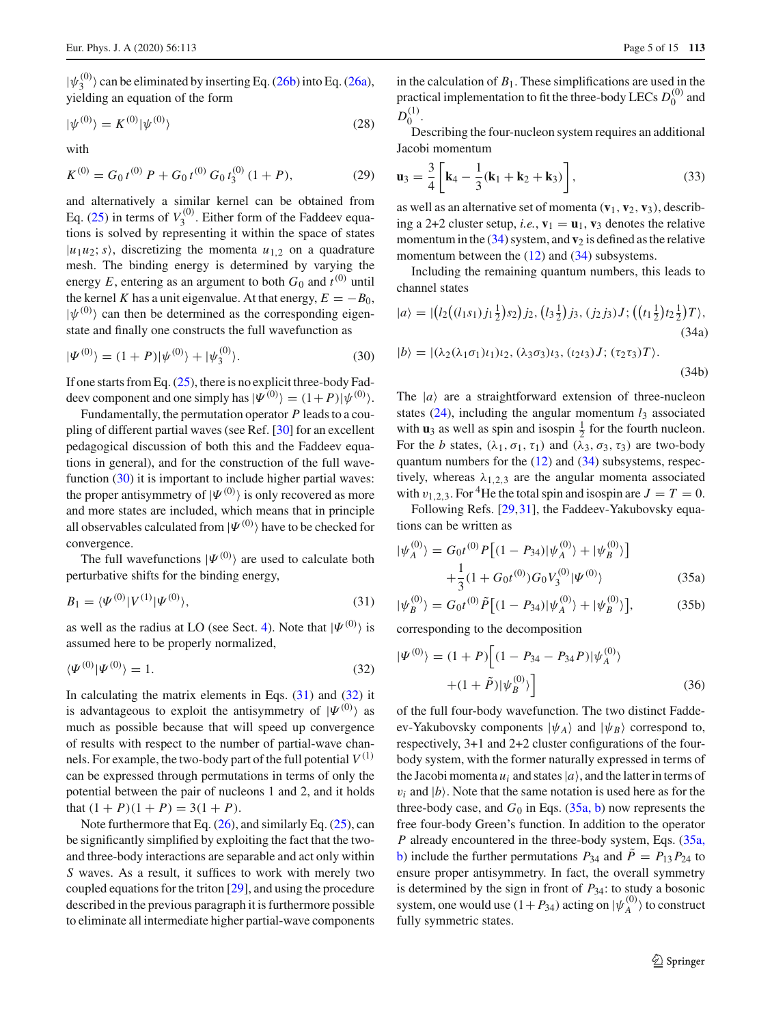$|\psi_3^{(0)}\rangle$  can be eliminated by inserting Eq. [\(26b\)](#page-3-2) into Eq. [\(26a\)](#page-3-2), yielding an equation of the form

$$
|\psi^{(0)}\rangle = K^{(0)}|\psi^{(0)}\rangle
$$
 (28)

with

$$
K^{(0)} = G_0 t^{(0)} P + G_0 t^{(0)} G_0 t_3^{(0)} (1 + P), \tag{29}
$$

and alternatively a similar kernel can be obtained from Eq.  $(25)$  in terms of  $V_3^{(0)}$ . Either form of the Faddeev equations is solved by representing it within the space of states  $|u_1u_2; s\rangle$ , discretizing the momenta  $u_{1,2}$  on a quadrature mesh. The binding energy is determined by varying the energy *E*, entering as an argument to both  $G_0$  and  $t^{(0)}$  until the kernel *K* has a unit eigenvalue. At that energy,  $E = -B_0$ ,  $|\psi^{(0)}\rangle$  can then be determined as the corresponding eigenstate and finally one constructs the full wavefunction as

<span id="page-4-0"></span>
$$
|\Psi^{(0)}\rangle = (1+P)|\psi^{(0)}\rangle + |\psi_3^{(0)}\rangle. \tag{30}
$$

If one starts from Eq. [\(25\)](#page-3-3), there is no explicit three-body Faddeev component and one simply has  $|\Psi^{(0)}\rangle = (1+P)|\psi^{(0)}\rangle$ .

Fundamentally, the permutation operator *P* leads to a coupling of different partial waves (see Ref. [\[30](#page-13-23)] for an excellent pedagogical discussion of both this and the Faddeev equations in general), and for the construction of the full wave-function [\(30\)](#page-4-0) it is important to include higher partial waves: the proper antisymmetry of  $|\Psi^{(0)}\rangle$  is only recovered as more and more states are included, which means that in principle all observables calculated from  $|\Psi^{(0)}\rangle$  have to be checked for convergence.

The full wavefunctions  $|\Psi^{(0)}\rangle$  are used to calculate both perturbative shifts for the binding energy,

<span id="page-4-1"></span>
$$
B_1 = \langle \Psi^{(0)} | V^{(1)} | \Psi^{(0)} \rangle, \tag{31}
$$

as well as the radius at LO (see Sect. [4\)](#page-6-0). Note that  $|\Psi^{(0)}\rangle$  is assumed here to be properly normalized,

<span id="page-4-2"></span>
$$
\langle \Psi^{(0)} | \Psi^{(0)} \rangle = 1. \tag{32}
$$

In calculating the matrix elements in Eqs.  $(31)$  and  $(32)$  it is advantageous to exploit the antisymmetry of  $|\Psi^{(0)}\rangle$  as much as possible because that will speed up convergence of results with respect to the number of partial-wave channels. For example, the two-body part of the full potential  $V^{(1)}$ can be expressed through permutations in terms of only the potential between the pair of nucleons 1 and 2, and it holds that  $(1 + P)(1 + P) = 3(1 + P)$ .

Note furthermore that Eq.  $(26)$ , and similarly Eq.  $(25)$ , can be significantly simplified by exploiting the fact that the twoand three-body interactions are separable and act only within *S* waves. As a result, it suffices to work with merely two coupled equations for the triton [\[29](#page-13-22)], and using the procedure described in the previous paragraph it is furthermore possible to eliminate all intermediate higher partial-wave components in the calculation of  $B_1$ . These simplifications are used in the practical implementation to fit the three-body LECs  $D_0^{(0)}$  and  $D_0^{(1)}$ .

Describing the four-nucleon system requires an additional Jacobi momentum

$$
\mathbf{u}_3 = \frac{3}{4} \left[ \mathbf{k}_4 - \frac{1}{3} (\mathbf{k}_1 + \mathbf{k}_2 + \mathbf{k}_3) \right],\tag{33}
$$

as well as an alternative set of momenta  $(\mathbf{v}_1, \mathbf{v}_2, \mathbf{v}_3)$ , describing a 2+2 cluster setup, *i.e.*,  $\mathbf{v}_1 = \mathbf{u}_1$ ,  $\mathbf{v}_3$  denotes the relative momentum in the  $(34)$  system, and  **is defined as the relative** momentum between the [\(12\)](#page-2-1) and [\(34\)](#page-4-3) subsystems.

<span id="page-4-3"></span>Including the remaining quantum numbers, this leads to channel states

<span id="page-4-6"></span>
$$
|a\rangle = |(l_2((l_1s_1)j_1\frac{1}{2})s_2)j_2, (l_3\frac{1}{2})j_3, (j_2j_3)J; ((t_1\frac{1}{2})t_2\frac{1}{2})T\rangle, (34a)
$$

$$
|b\rangle = |(\lambda_2(\lambda_1\sigma_1)\iota_1)\iota_2, (\lambda_3\sigma_3)\iota_3, (\iota_2\iota_3)J; (\tau_2\tau_3)T\rangle.
$$
\n(34b)

The  $|a\rangle$  are a straightforward extension of three-nucleon states  $(24)$ , including the angular momentum  $l_3$  associated with  $\mathbf{u}_3$  as well as spin and isospin  $\frac{1}{2}$  for the fourth nucleon. For the *b* states,  $(\lambda_1, \sigma_1, \tau_1)$  and  $(\lambda_3, \sigma_3, \tau_3)$  are two-body quantum numbers for the  $(12)$  and  $(34)$  subsystems, respectively, whereas  $\lambda_{1,2,3}$  are the angular momenta associated with  $v_{1,2,3}$ . For <sup>4</sup>He the total spin and isospin are  $J = T = 0$ .

<span id="page-4-4"></span>Following Refs. [\[29](#page-13-22),[31\]](#page-13-24), the Faddeev-Yakubovsky equations can be written as

$$
|\psi_A^{(0)}\rangle = G_0 t^{(0)} P \left[ (1 - P_{34}) |\psi_A^{(0)}\rangle + |\psi_B^{(0)}\rangle \right] + \frac{1}{3} (1 + G_0 t^{(0)}) G_0 V_3^{(0)} |\Psi^{(0)}\rangle
$$
(35a)

$$
|\psi_B^{(0)}\rangle = G_0 t^{(0)} \tilde{P} \big[ (1 - P_{34}) |\psi_A^{(0)}\rangle + |\psi_B^{(0)}\rangle \big],\tag{35b}
$$

corresponding to the decomposition

<span id="page-4-5"></span>
$$
|\Psi^{(0)}\rangle = (1+P)\left[ (1-P_{34}-P_{34}P)|\psi_A^{(0)}\rangle + (1+\tilde{P})|\psi_B^{(0)}\rangle \right]
$$
(36)

of the full four-body wavefunction. The two distinct Faddeev-Yakubovsky components  $|\psi_A\rangle$  and  $|\psi_B\rangle$  correspond to, respectively, 3+1 and 2+2 cluster configurations of the fourbody system, with the former naturally expressed in terms of the Jacobi momenta  $u_i$  and states  $|a\rangle$ , and the latter in terms of  $v_i$  and  $|b\rangle$ . Note that the same notation is used here as for the three-body case, and  $G_0$  in Eqs. [\(35a, b\)](#page-4-4) now represents the free four-body Green's function. In addition to the operator *P* [already](#page-4-4) [encountered](#page-4-4) [in](#page-4-4) [the](#page-4-4) [three-body](#page-4-4) [system,](#page-4-4) [Eqs.](#page-4-4) [\(](#page-4-4)35a, b) include the further permutations  $P_{34}$  and  $\tilde{P} = P_{13}P_{24}$  to ensure proper antisymmetry. In fact, the overall symmetry is determined by the sign in front of *P*34: to study a bosonic system, one would use  $(1+P_{34})$  acting on  $|\psi_A^{(0)}\rangle$  to construct fully symmetric states.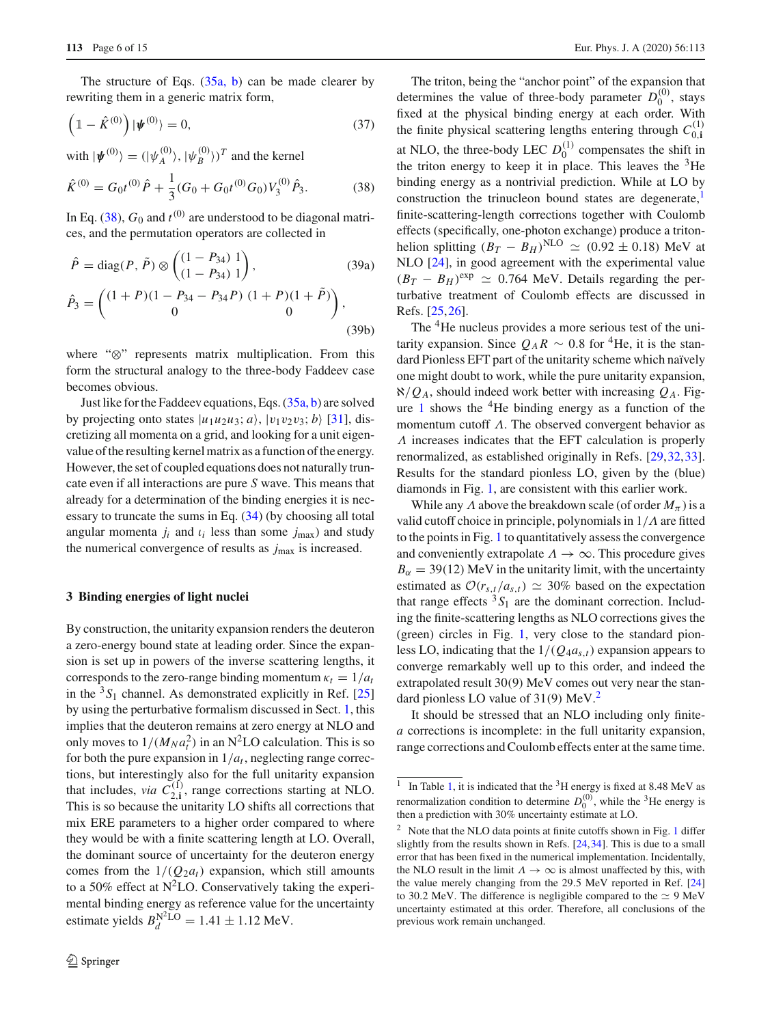The structure of Eqs.  $(35a, b)$  can be made clearer by rewriting them in a generic matrix form,

<span id="page-5-3"></span>
$$
\left(\mathbb{1} - \hat{K}^{(0)}\right) |\psi^{(0)}\rangle = 0, \tag{37}
$$

with  $|\psi^{(0)}\rangle = (|\psi_A^{(0)}\rangle, |\psi_B^{(0)}\rangle)^T$  and the kernel

<span id="page-5-0"></span>
$$
\hat{K}^{(0)} = G_0 t^{(0)} \hat{P} + \frac{1}{3} (G_0 + G_0 t^{(0)} G_0) V_3^{(0)} \hat{P}_3.
$$
 (38)

In Eq. [\(38\)](#page-5-0),  $G_0$  and  $t^{(0)}$  are understood to be diagonal matrices, and the permutation operators are collected in

$$
\hat{P} = \text{diag}(P, \tilde{P}) \otimes \begin{pmatrix} (1 - P_{34}) & 1 \\ (1 - P_{34}) & 1 \end{pmatrix},
$$
(39a)  

$$
\hat{P}_3 = \begin{pmatrix} (1 + P)(1 - P_{34} - P_{34}P) & (1 + P)(1 + \tilde{P}) \\ 0 & 0 \end{pmatrix},
$$
(39b)

where "⊗" represents matrix multiplication. From this form the structural analogy to the three-body Faddeev case becomes obvious.

Just like for the Faddeev equations, Eqs. [\(35a, b\)](#page-4-4) are solved by projecting onto states  $|u_1u_2u_3; a\rangle$ ,  $|v_1v_2v_3; b\rangle$  [\[31](#page-13-24)], discretizing all momenta on a grid, and looking for a unit eigenvalue of the resulting kernel matrix as a function of the energy. However, the set of coupled equations does not naturally truncate even if all interactions are pure *S* wave. This means that already for a determination of the binding energies it is necessary to truncate the sums in Eq. [\(34\)](#page-4-3) (by choosing all total angular momenta  $j_i$  and  $\iota_i$  less than some  $j_{\text{max}}$ ) and study the numerical convergence of results as *j*max is increased.

#### **3 Binding energies of light nuclei**

By construction, the unitarity expansion renders the deuteron a zero-energy bound state at leading order. Since the expansion is set up in powers of the inverse scattering lengths, it corresponds to the zero-range binding momentum  $\kappa_t = 1/a_t$ in the  ${}^{3}S_1$  channel. As demonstrated explicitly in Ref. [\[25\]](#page-13-18) by using the perturbative formalism discussed in Sect. [1,](#page-0-4) this implies that the deuteron remains at zero energy at NLO and only moves to  $1/(M_N a_t^2)$  in an N<sup>2</sup>LO calculation. This is so for both the pure expansion in  $1/a<sub>t</sub>$ , neglecting range corrections, but interestingly also for the full unitarity expansion that includes, *via*  $C_{2,i}^{(1)}$ , range corrections starting at NLO. This is so because the unitarity LO shifts all corrections that mix ERE parameters to a higher order compared to where they would be with a finite scattering length at LO. Overall, the dominant source of uncertainty for the deuteron energy comes from the  $1/(Q_2a_t)$  expansion, which still amounts to a 50% effect at  $N^2LO$ . Conservatively taking the experimental binding energy as reference value for the uncertainty estimate yields  $B_d^{N^2LO} = 1.41 \pm 1.12 \text{ MeV}.$ 

The triton, being the "anchor point" of the expansion that determines the value of three-body parameter  $D_0^{(0)}$ , stays fixed at the physical binding energy at each order. With the finite physical scattering lengths entering through  $C_{0,i}^{(1)}$ at NLO, the three-body LEC  $D_0^{(1)}$  compensates the shift in the triton energy to keep it in place. This leaves the  ${}^{3}$ He binding energy as a nontrivial prediction. While at LO by construction the trinucleon bound states are degenerate, $\frac{1}{1}$  $\frac{1}{1}$  $\frac{1}{1}$ finite-scattering-length corrections together with Coulomb effects (specifically, one-photon exchange) produce a tritonhelion splitting  $(B_T - B_H)^{\text{NLO}} \simeq (0.92 \pm 0.18) \text{ MeV}$  at NLO  $[24]$  $[24]$ , in good agreement with the experimental value  $(B_T - B_H)^{\text{exp}} \simeq 0.764 \text{ MeV}$ . Details regarding the perturbative treatment of Coulomb effects are discussed in Refs. [\[25,](#page-13-18)[26\]](#page-13-19).

The <sup>4</sup>He nucleus provides a more serious test of the unitarity expansion. Since  $Q_A R \sim 0.8$  for <sup>4</sup>He, it is the standard Pionless EFT part of the unitarity scheme which naïvely one might doubt to work, while the pure unitarity expansion,  $\aleph/Q_A$ , should indeed work better with increasing  $Q_A$ . Fig-ure [1](#page-6-1) shows the  ${}^{4}$ He binding energy as a function of the momentum cutoff  $\Lambda$ . The observed convergent behavior as Λ increases indicates that the EFT calculation is properly renormalized, as established originally in Refs. [\[29](#page-13-22)[,32](#page-13-25)[,33](#page-13-26)]. Results for the standard pionless LO, given by the (blue) diamonds in Fig. [1,](#page-6-1) are consistent with this earlier work.

While any  $\Lambda$  above the breakdown scale (of order  $M_{\pi}$ ) is a valid cutoff choice in principle, polynomials in  $1/\Lambda$  are fitted to the points in Fig. [1](#page-6-1) to quantitatively assess the convergence and conveniently extrapolate  $\Lambda \to \infty$ . This procedure gives  $B_{\alpha} = 39(12)$  MeV in the unitarity limit, with the uncertainty estimated as  $\mathcal{O}(r_{s,t}/a_{s,t}) \simeq 30\%$  based on the expectation that range effects  ${}^{3}S_{1}$  are the dominant correction. Including the finite-scattering lengths as NLO corrections gives the (green) circles in Fig. [1,](#page-6-1) very close to the standard pionless LO, indicating that the  $1/(Q_4 a_{s,t})$  expansion appears to converge remarkably well up to this order, and indeed the extrapolated result 30(9) MeV comes out very near the standard pionless LO value of 31(9) MeV.[2](#page-5-2)

It should be stressed that an NLO including only finite*a* corrections is incomplete: in the full unitarity expansion, range corrections and Coulomb effects enter at the same time.

<span id="page-5-1"></span> $\frac{1}{1}$  In Table [1,](#page-6-2) it is indicated that the <sup>3</sup>H energy is fixed at 8.48 MeV as renormalization condition to determine  $D_0^{(0)}$ , while the <sup>3</sup>He energy is then a prediction with 30% uncertainty estimate at LO.

<span id="page-5-2"></span><sup>&</sup>lt;sup>2</sup> Note that the NLO data points at finite cutoffs shown in Fig. [1](#page-6-1) differ slightly from the results shown in Refs. [\[24](#page-13-17)[,34\]](#page-13-27). This is due to a small error that has been fixed in the numerical implementation. Incidentally, the NLO result in the limit  $\Lambda \to \infty$  is almost unaffected by this, with the value merely changing from the 29.5 MeV reported in Ref. [\[24](#page-13-17)] to 30.2 MeV. The difference is negligible compared to the  $\simeq$  9 MeV uncertainty estimated at this order. Therefore, all conclusions of the previous work remain unchanged.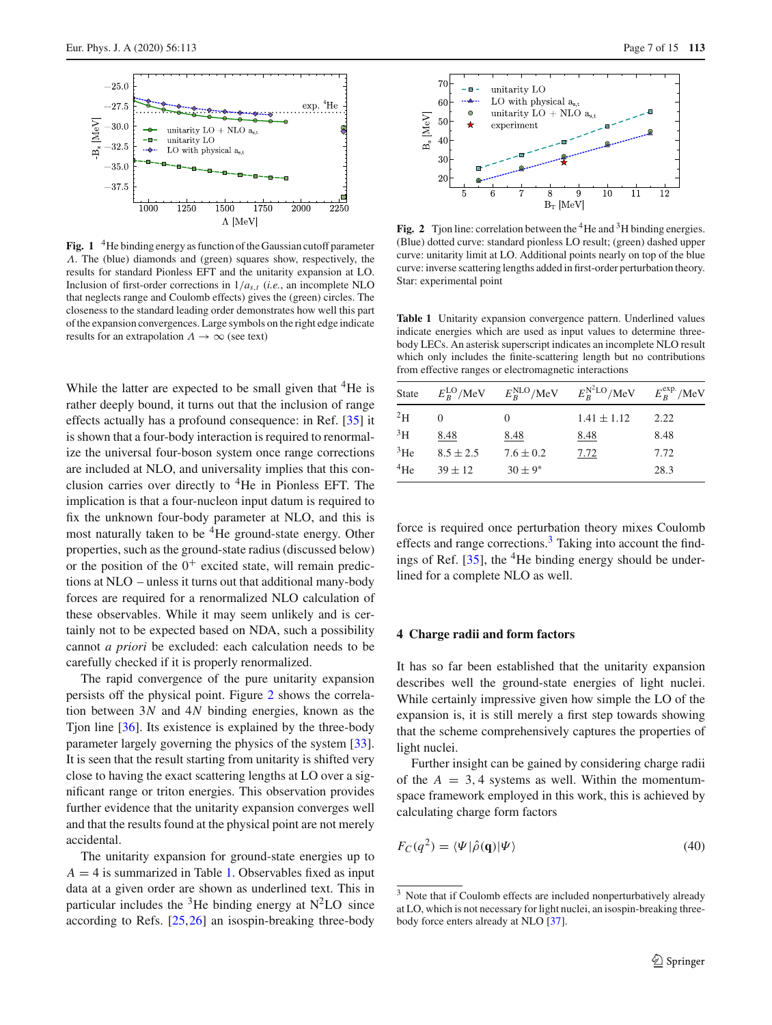

<span id="page-6-1"></span>Fig. 1 <sup>4</sup>He binding energy as function of the Gaussian cutoff parameter Λ. The (blue) diamonds and (green) squares show, respectively, the results for standard Pionless EFT and the unitarity expansion at LO. Inclusion of first-order corrections in  $1/a_{s,t}$  (*i.e.*, an incomplete NLO that neglects range and Coulomb effects) gives the (green) circles. The closeness to the standard leading order demonstrates how well this part of the expansion convergences. Large symbols on the right edge indicate results for an extrapolation  $\Lambda \to \infty$  (see text)

While the latter are expected to be small given that  ${}^{4}$ He is rather deeply bound, it turns out that the inclusion of range effects actually has a profound consequence: in Ref. [\[35](#page-13-28)] it is shown that a four-body interaction is required to renormalize the universal four-boson system once range corrections are included at NLO, and universality implies that this conclusion carries over directly to  ${}^{4}$ He in Pionless EFT. The implication is that a four-nucleon input datum is required to fix the unknown four-body parameter at NLO, and this is most naturally taken to be  ${}^{4}$ He ground-state energy. Other properties, such as the ground-state radius (discussed below) or the position of the  $0^+$  excited state, will remain predictions at NLO – unless it turns out that additional many-body forces are required for a renormalized NLO calculation of these observables. While it may seem unlikely and is certainly not to be expected based on NDA, such a possibility cannot *a priori* be excluded: each calculation needs to be carefully checked if it is properly renormalized.

The rapid convergence of the pure unitarity expansion persists off the physical point. Figure [2](#page-6-3) shows the correlation between 3*N* and 4*N* binding energies, known as the Tjon line [\[36](#page-14-0)]. Its existence is explained by the three-body parameter largely governing the physics of the system [\[33](#page-13-26)]. It is seen that the result starting from unitarity is shifted very close to having the exact scattering lengths at LO over a significant range or triton energies. This observation provides further evidence that the unitarity expansion converges well and that the results found at the physical point are not merely accidental.

The unitarity expansion for ground-state energies up to  $A = 4$  is summarized in Table [1.](#page-6-2) Observables fixed as input data at a given order are shown as underlined text. This in particular includes the  ${}^{3}$ He binding energy at N<sup>2</sup>LO since according to Refs. [\[25](#page-13-18)[,26](#page-13-19)] an isospin-breaking three-body



<span id="page-6-3"></span>**Fig. 2** Tjon line: correlation between the <sup>4</sup>He and <sup>3</sup>H binding energies. (Blue) dotted curve: standard pionless LO result; (green) dashed upper curve: unitarity limit at LO. Additional points nearly on top of the blue curve: inverse scattering lengths added in first-order perturbation theory. Star: experimental point

<span id="page-6-2"></span>**Table 1** Unitarity expansion convergence pattern. Underlined values indicate energies which are used as input values to determine threebody LECs. An asterisk superscript indicates an incomplete NLO result which only includes the finite-scattering length but no contributions from effective ranges or electromagnetic interactions

| State           |               |               | $E_R^{\text{LO}}/MeV$ $E_R^{\text{NLO}}/MeV$ $E_R^{\text{N}^2\text{LO}}/MeV$ $E_R^{\text{exp}}/MeV$ |      |
|-----------------|---------------|---------------|-----------------------------------------------------------------------------------------------------|------|
| $^{2}$ H        |               | 0             | $1.41 \pm 1.12$                                                                                     | 2.22 |
| $\rm{^{3}H}$    | 8.48          | 8.48          | 8.48                                                                                                | 8.48 |
| $3$ He          | $8.5 \pm 2.5$ | $7.6 \pm 0.2$ | 7.72                                                                                                | 7.72 |
| <sup>4</sup> He | $39 \pm 12$   | $30 \pm 9^*$  |                                                                                                     | 28.3 |

force is required once perturbation theory mixes Coulomb effects and range corrections. $3$  Taking into account the findings of Ref.  $[35]$  $[35]$ , the <sup>4</sup>He binding energy should be underlined for a complete NLO as well.

## <span id="page-6-0"></span>**4 Charge radii and form factors**

It has so far been established that the unitarity expansion describes well the ground-state energies of light nuclei. While certainly impressive given how simple the LO of the expansion is, it is still merely a first step towards showing that the scheme comprehensively captures the properties of light nuclei.

Further insight can be gained by considering charge radii of the  $A = 3, 4$  systems as well. Within the momentumspace framework employed in this work, this is achieved by calculating charge form factors

<span id="page-6-5"></span>
$$
F_C(q^2) = \langle \Psi | \hat{\rho}(\mathbf{q}) | \Psi \rangle \tag{40}
$$

<span id="page-6-4"></span><sup>&</sup>lt;sup>3</sup> Note that if Coulomb effects are included nonperturbatively already at LO, which is not necessary for light nuclei, an isospin-breaking threebody force enters already at NLO [\[37](#page-14-1)].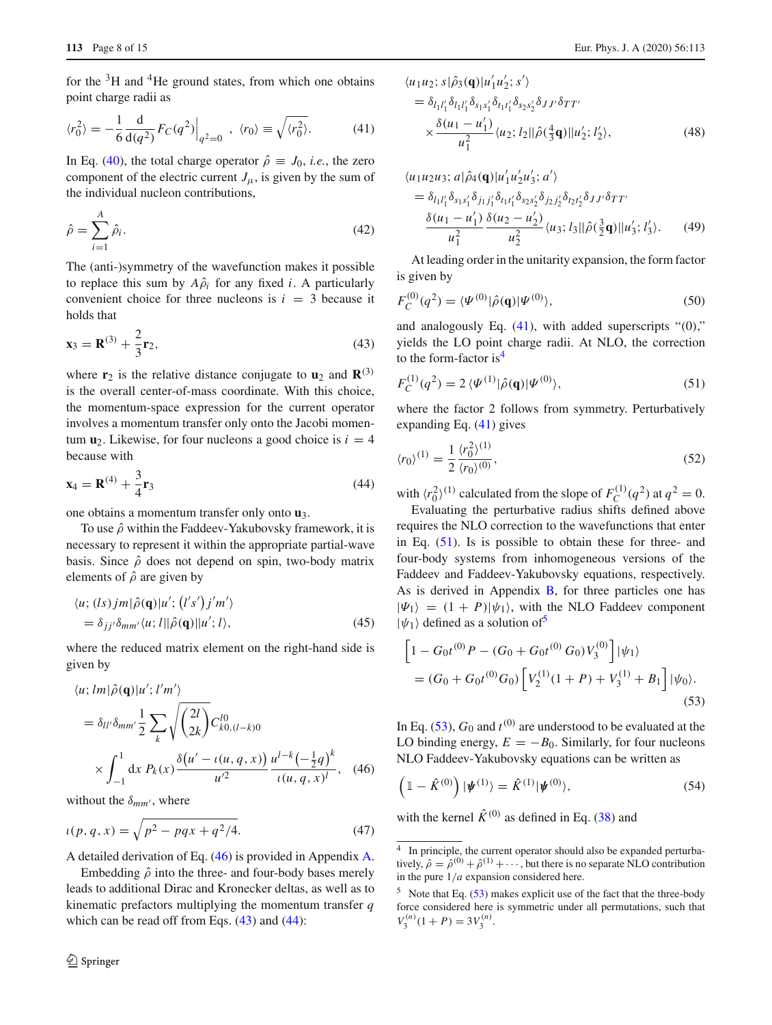for the  ${}^{3}H$  and  ${}^{4}He$  ground states, from which one obtains point charge radii as

<span id="page-7-3"></span>
$$
\langle r_0^2 \rangle = -\frac{1}{6} \frac{\mathrm{d}}{\mathrm{d}(q^2)} F_C(q^2) \Big|_{q^2 = 0} , \langle r_0 \rangle \equiv \sqrt{\langle r_0^2 \rangle} . \tag{41}
$$

In Eq. [\(40\)](#page-6-5), the total charge operator  $\hat{\rho} \equiv J_0$ , *i.e.*, the zero component of the electric current  $J_{\mu}$ , is given by the sum of the individual nucleon contributions,

$$
\hat{\rho} = \sum_{i=1}^{A} \hat{\rho}_i.
$$
\n(42)

The (anti-)symmetry of the wavefunction makes it possible to replace this sum by  $A\hat{\rho}_i$  for any fixed *i*. A particularly convenient choice for three nucleons is  $i = 3$  because it holds that

<span id="page-7-1"></span>
$$
\mathbf{x}_3 = \mathbf{R}^{(3)} + \frac{2}{3} \mathbf{r}_2,\tag{43}
$$

where  $\mathbf{r}_2$  is the relative distance conjugate to  $\mathbf{u}_2$  and  $\mathbf{R}^{(3)}$ is the overall center-of-mass coordinate. With this choice, the momentum-space expression for the current operator involves a momentum transfer only onto the Jacobi momentum  $\mathbf{u}_2$ . Likewise, for four nucleons a good choice is  $i = 4$ because with

<span id="page-7-2"></span>
$$
\mathbf{x}_4 = \mathbf{R}^{(4)} + \frac{3}{4} \mathbf{r}_3 \tag{44}
$$

one obtains a momentum transfer only onto **u**3.

To use  $\hat{\rho}$  within the Faddeev-Yakubovsky framework, it is necessary to represent it within the appropriate partial-wave basis. Since  $\hat{\rho}$  does not depend on spin, two-body matrix elements of  $\hat{\rho}$  are given by

$$
\langle u; (ls)jm|\hat{\rho}(\mathbf{q})|u'; (l's')j'm'\rangle
$$
  
=  $\delta_{jj'}\delta_{mm'}\langle u; l||\hat{\rho}(\mathbf{q})||u'; l\rangle,$  (45)

where the reduced matrix element on the right-hand side is given by

<span id="page-7-0"></span>
$$
\langle u; lm|\hat{\rho}(\mathbf{q})|u'; l'm'\rangle
$$
  
=  $\delta_{ll'}\delta_{mm'}\frac{1}{2}\sum_{k}\sqrt{\binom{2l}{2k}}C_{k0,(l-k)0}^{l0}$   

$$
\times \int_{-1}^{1} dx P_{k}(x)\frac{\delta(u'-\iota(u,q,x))}{u'^{2}}\frac{u^{l-k}(-\frac{1}{2}q)^{k}}{\iota(u,q,x)^{l}}, \quad (46)
$$

without the  $\delta_{mm'}$ , where

$$
\iota(p,q,x) = \sqrt{p^2 - pqx + q^2/4}.
$$
 (47)

A detailed derivation of Eq. [\(46\)](#page-7-0) is provided in Appendix [A.](#page-0-4)

Embedding  $\hat{\rho}$  into the three- and four-body bases merely leads to additional Dirac and Kronecker deltas, as well as to kinematic prefactors multiplying the momentum transfer *q* which can be read off from Eqs.  $(43)$  and  $(44)$ :

<span id="page-7-9"></span>
$$
\langle u_1 u_2; s | \hat{\rho}_3(\mathbf{q}) | u'_1 u'_2; s' \rangle \n= \delta_{l_1 l'_1} \delta_{l_1 l'_1} \delta_{s_1 s'_1} \delta_{t_1 t'_1} \delta_{s_2 s'_2} \delta_{J J'} \delta_{T T'} \n\times \frac{\delta(u_1 - u'_1)}{u_1^2} \langle u_2; l_2 || \hat{\rho}(\frac{4}{3}\mathbf{q}) || u'_2; l'_2 \rangle,
$$
\n(48)

<span id="page-7-10"></span>
$$
\langle u_1 u_2 u_3; a | \hat{\rho}_4(\mathbf{q}) | u'_1 u'_2 u'_3; a' \rangle \n= \delta_{l_1 l'_1} \delta_{s_1 s'_1} \delta_{j_1 j'_1} \delta_{t_1 t'_1} \delta_{s_2 s'_2} \delta_{j_2 j'_2} \delta_{t_2 t'_2} \delta_{J J'} \delta_{TT'} \n\frac{\delta(u_1 - u'_1)}{u_1^2} \frac{\delta(u_2 - u'_2)}{u_2^2} \langle u_3; l_3 || \hat{\rho}(\frac{3}{2}\mathbf{q}) || u'_3; l'_3 \rangle.
$$
\n(49)

At leading order in the unitarity expansion, the form factor is given by

$$
F_C^{(0)}(q^2) = \langle \Psi^{(0)} | \hat{\rho}(\mathbf{q}) | \Psi^{(0)} \rangle, \tag{50}
$$

and analogously Eq.  $(41)$ , with added superscripts " $(0)$ ," yields the LO point charge radii. At NLO, the correction to the form-factor  $is<sup>4</sup>$ 

<span id="page-7-5"></span>
$$
F_C^{(1)}(q^2) = 2 \langle \Psi^{(1)} | \hat{\rho}(\mathbf{q}) | \Psi^{(0)} \rangle, \tag{51}
$$

where the factor 2 follows from symmetry. Perturbatively expanding Eq. [\(41\)](#page-7-3) gives

$$
\langle r_0 \rangle^{(1)} = \frac{1}{2} \frac{\langle r_0^2 \rangle^{(1)}}{\langle r_0 \rangle^{(0)}},\tag{52}
$$

with  $\langle r_0^2 \rangle^{(1)}$  calculated from the slope of  $F_C^{(1)}(q^2)$  at  $q^2 = 0$ .

Evaluating the perturbative radius shifts defined above requires the NLO correction to the wavefunctions that enter in Eq. [\(51\)](#page-7-5). Is is possible to obtain these for three- and four-body systems from inhomogeneous versions of the Faddeev and Faddeev-Yakubovsky equations, respectively. As is derived in Appendix  $\overline{B}$ , for three particles one has  $|\Psi_1\rangle = (1 + P)|\psi_1\rangle$ , with the NLO Faddeev component  $|\psi_1\rangle$  defined as a solution of<sup>[5](#page-7-6)</sup>

<span id="page-7-7"></span>
$$
\[1 - G_0 t^{(0)} P - (G_0 + G_0 t^{(0)} G_0) V_3^{(0)}\] |\psi_1\rangle
$$
  
=  $(G_0 + G_0 t^{(0)} G_0) \Big[ V_2^{(1)} (1 + P) + V_3^{(1)} + B_1 \Big] |\psi_0\rangle.$  (53)

In Eq.  $(53)$ ,  $G_0$  and  $t^{(0)}$  are understood to be evaluated at the LO binding energy,  $E = -B_0$ . Similarly, for four nucleons NLO Faddeev-Yakubovsky equations can be written as

<span id="page-7-8"></span>
$$
\left(\mathbb{1} - \hat{K}^{(0)}\right)|\psi^{(1)}\rangle = \hat{K}^{(1)}|\psi^{(0)}\rangle,\tag{54}
$$

with the kernel  $\hat{K}^{(0)}$  as defined in Eq. [\(38\)](#page-5-0) and

<span id="page-7-4"></span><sup>4</sup> In principle, the current operator should also be expanded perturbatively,  $\hat{\rho} = \hat{\rho}^{(0)} + \hat{\rho}^{(1)} + \cdots$ , but there is no separate NLO contribution in the pure 1/*a* expansion considered here.

<span id="page-7-6"></span> $5$  Note that Eq. [\(53\)](#page-7-7) makes explicit use of the fact that the three-body force considered here is symmetric under all permutations, such that  $V_3^{(n)}(1+P) = 3V_3^{(n)}$ .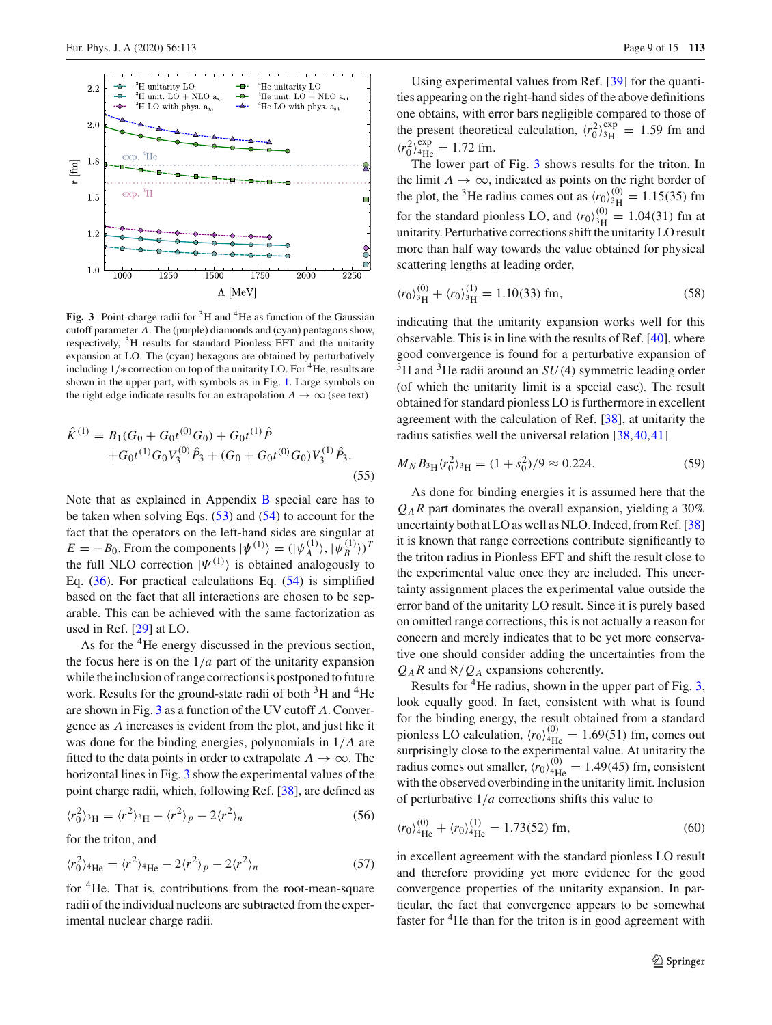

<span id="page-8-0"></span>**Fig. 3** Point-charge radii for  ${}^{3}H$  and  ${}^{4}He$  as function of the Gaussian cutoff parameter  $\Lambda$ . The (purple) diamonds and (cyan) pentagons show, respectively,  ${}^{3}$ H results for standard Pionless EFT and the unitarity expansion at LO. The (cyan) hexagons are obtained by perturbatively including  $1/*$  correction on top of the unitarity LO. For <sup>4</sup>He, results are shown in the upper part, with symbols as in Fig. [1.](#page-6-1) Large symbols on the right edge indicate results for an extrapolation  $\Lambda \to \infty$  (see text)

<span id="page-8-1"></span>
$$
\hat{K}^{(1)} = B_1(G_0 + G_0 t^{(0)} G_0) + G_0 t^{(1)} \hat{P} + G_0 t^{(1)} G_0 V_3^{(0)} \hat{P}_3 + (G_0 + G_0 t^{(0)} G_0) V_3^{(1)} \hat{P}_3.
$$
\n(55)

Note that as explained in Appendix [B](#page-3-1) special care has to be taken when solving Eqs. [\(53\)](#page-7-7) and [\(54\)](#page-7-8) to account for the fact that the operators on the left-hand sides are singular at  $E = -B_0$ . From the components  $|\psi^{(1)}\rangle = (|\psi_A^{(1)}\rangle, |\psi_B^{(1)}\rangle)^T$ the full NLO correction  $|\Psi^{(1)}\rangle$  is obtained analogously to Eq. [\(36\)](#page-4-5). For practical calculations Eq. [\(54\)](#page-7-8) is simplified based on the fact that all interactions are chosen to be separable. This can be achieved with the same factorization as used in Ref. [\[29\]](#page-13-22) at LO.

As for the <sup>4</sup>He energy discussed in the previous section, the focus here is on the  $1/a$  part of the unitarity expansion while the inclusion of range corrections is postponed to future work. Results for the ground-state radii of both  ${}^{3}$ H and  ${}^{4}$ He are shown in Fig. [3](#page-8-0) as a function of the UV cutoff  $\Lambda$ . Convergence as Λ increases is evident from the plot, and just like it was done for the binding energies, polynomials in  $1/\Lambda$  are fitted to the data points in order to extrapolate  $\Lambda \to \infty$ . The horizontal lines in Fig. [3](#page-8-0) show the experimental values of the point charge radii, which, following Ref. [\[38](#page-14-2)], are defined as

$$
\langle r_0^2 \rangle_{\rm 3H} = \langle r^2 \rangle_{\rm 3H} - \langle r^2 \rangle_p - 2 \langle r^2 \rangle_n \tag{56}
$$

for the triton, and

$$
\langle r_0^2 \rangle_{^4\text{He}} = \langle r^2 \rangle_{^4\text{He}} - 2\langle r^2 \rangle_p - 2\langle r^2 \rangle_n \tag{57}
$$

for 4He. That is, contributions from the root-mean-square radii of the individual nucleons are subtracted from the experimental nuclear charge radii.

Using experimental values from Ref. [\[39](#page-14-3)] for the quantities appearing on the right-hand sides of the above definitions one obtains, with error bars negligible compared to those of the present theoretical calculation,  $\langle r_0^2 \rangle_{\rm 3H}^{\rm exp} = 1.59$  fm and  $\langle r_0^2 \rangle_{\text{4He}}^{\text{exp}} = 1.72 \text{ fm}.$ 

The lower part of Fig. [3](#page-8-0) shows results for the triton. In the limit  $\Lambda \to \infty$ , indicated as points on the right border of the plot, the <sup>3</sup>He radius comes out as  $\langle r_0 \rangle_{3H}^{(0)} = 1.15(35)$  fm for the standard pionless LO, and  $\langle r_0 \rangle_{3H}^{(0)} = 1.04(31)$  fm at unitarity. Perturbative corrections shift the unitarity LO result more than half way towards the value obtained for physical scattering lengths at leading order,

$$
\langle r_0 \rangle_{3\text{H}}^{(0)} + \langle r_0 \rangle_{3\text{H}}^{(1)} = 1.10(33) \text{ fm},\tag{58}
$$

indicating that the unitarity expansion works well for this observable. This is in line with the results of Ref. [\[40](#page-14-4)], where good convergence is found for a perturbative expansion of  $3H$  and  $3He$  radii around an  $SU(4)$  symmetric leading order (of which the unitarity limit is a special case). The result obtained for standard pionless LO is furthermore in excellent agreement with the calculation of Ref. [\[38\]](#page-14-2), at unitarity the radius satisfies well the universal relation [\[38](#page-14-2)[,40](#page-14-4),[41\]](#page-14-5)

$$
M_N B_{3\mathrm{H}} \langle r_0^2 \rangle_{3\mathrm{H}} = (1 + s_0^2)/9 \approx 0.224. \tag{59}
$$

As done for binding energies it is assumed here that the  $Q_A R$  part dominates the overall expansion, yielding a 30% uncertainty both at LO as well as NLO. Indeed, from Ref. [\[38\]](#page-14-2) it is known that range corrections contribute significantly to the triton radius in Pionless EFT and shift the result close to the experimental value once they are included. This uncertainty assignment places the experimental value outside the error band of the unitarity LO result. Since it is purely based on omitted range corrections, this is not actually a reason for concern and merely indicates that to be yet more conservative one should consider adding the uncertainties from the  $Q_A R$  and  $\aleph/Q_A$  expansions coherently.

Results for  ${}^{4}$ He radius, shown in the upper part of Fig. [3,](#page-8-0) look equally good. In fact, consistent with what is found for the binding energy, the result obtained from a standard pionless LO calculation,  $\langle r_0 \rangle_{\text{4He}}^{(0)} = 1.69(51)$  fm, comes out surprisingly close to the experimental value. At unitarity the radius comes out smaller,  $\langle r_0 \rangle_{\text{4He}}^{(0)} = 1.49(45)$  fm, consistent with the observed overbinding in the unitarity limit. Inclusion of perturbative 1/*a* corrections shifts this value to

$$
\langle r_0 \rangle_{^{4}\text{He}}^{(0)} + \langle r_0 \rangle_{^{4}\text{He}}^{(1)} = 1.73(52) \text{ fm},\tag{60}
$$

in excellent agreement with the standard pionless LO result and therefore providing yet more evidence for the good convergence properties of the unitarity expansion. In particular, the fact that convergence appears to be somewhat faster for  ${}^{4}$ He than for the triton is in good agreement with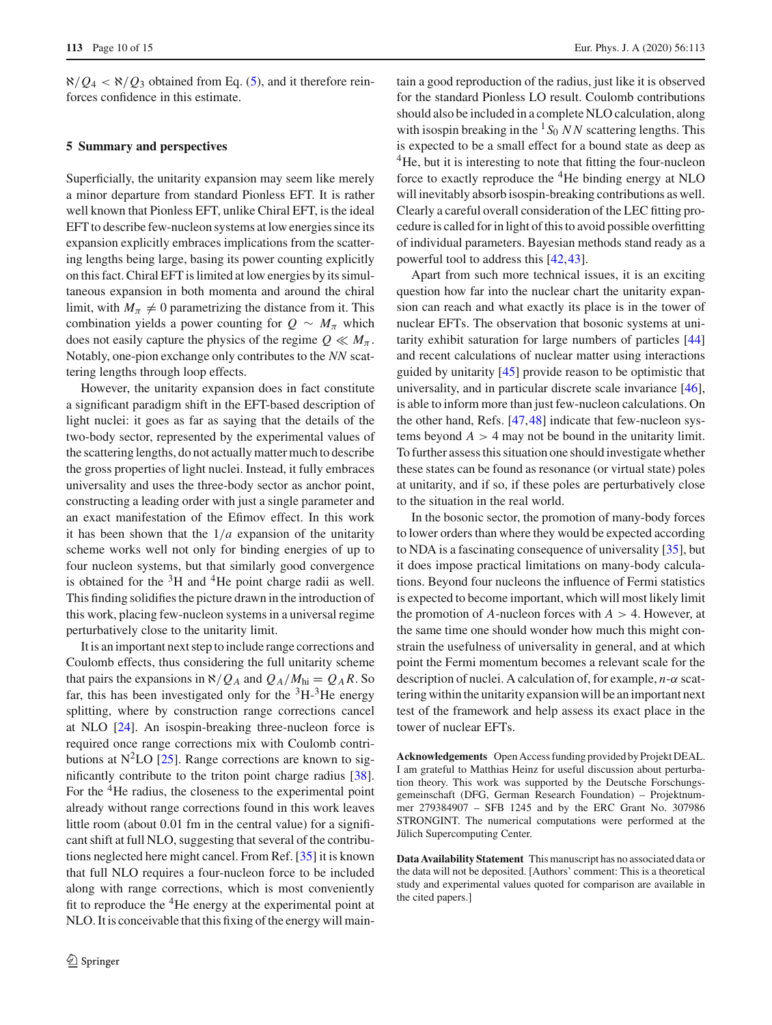$\aleph/Q_4 < \aleph/Q_3$  obtained from Eq. [\(5\)](#page-2-3), and it therefore reinforces confidence in this estimate.

## <span id="page-9-0"></span>**5 Summary and perspectives**

Superficially, the unitarity expansion may seem like merely a minor departure from standard Pionless EFT. It is rather well known that Pionless EFT, unlike Chiral EFT, is the ideal EFT to describe few-nucleon systems at low energies since its expansion explicitly embraces implications from the scattering lengths being large, basing its power counting explicitly on this fact. Chiral EFT is limited at low energies by its simultaneous expansion in both momenta and around the chiral limit, with  $M_\pi \neq 0$  parametrizing the distance from it. This combination yields a power counting for  $Q \sim M_{\pi}$  which does not easily capture the physics of the regime  $Q \ll M_{\pi}$ . Notably, one-pion exchange only contributes to the *NN* scattering lengths through loop effects.

However, the unitarity expansion does in fact constitute a significant paradigm shift in the EFT-based description of light nuclei: it goes as far as saying that the details of the two-body sector, represented by the experimental values of the scattering lengths, do not actually matter much to describe the gross properties of light nuclei. Instead, it fully embraces universality and uses the three-body sector as anchor point, constructing a leading order with just a single parameter and an exact manifestation of the Efimov effect. In this work it has been shown that the  $1/a$  expansion of the unitarity scheme works well not only for binding energies of up to four nucleon systems, but that similarly good convergence is obtained for the  ${}^{3}H$  and  ${}^{4}He$  point charge radii as well. This finding solidifies the picture drawn in the introduction of this work, placing few-nucleon systems in a universal regime perturbatively close to the unitarity limit.

It is an important next step to include range corrections and Coulomb effects, thus considering the full unitarity scheme that pairs the expansions in  $\aleph/Q_A$  and  $Q_A/M_{\text{hi}} = Q_A R$ . So far, this has been investigated only for the  ${}^{3}H_{-}{}^{3}He$  energy splitting, where by construction range corrections cancel at NLO [\[24\]](#page-13-17). An isospin-breaking three-nucleon force is required once range corrections mix with Coulomb contributions at  $N^2LO$  [\[25](#page-13-18)]. Range corrections are known to significantly contribute to the triton point charge radius [\[38](#page-14-2)]. For the <sup>4</sup>He radius, the closeness to the experimental point already without range corrections found in this work leaves little room (about 0.01 fm in the central value) for a significant shift at full NLO, suggesting that several of the contributions neglected here might cancel. From Ref. [\[35](#page-13-28)] it is known that full NLO requires a four-nucleon force to be included along with range corrections, which is most conveniently fit to reproduce the <sup>4</sup>He energy at the experimental point at NLO. It is conceivable that this fixing of the energy will main-

tain a good reproduction of the radius, just like it is observed for the standard Pionless LO result. Coulomb contributions should also be included in a complete NLO calculation, along with isospin breaking in the  ${}^{1}S_{0}$  *NN* scattering lengths. This is expected to be a small effect for a bound state as deep as <sup>4</sup>He, but it is interesting to note that fitting the four-nucleon force to exactly reproduce the 4He binding energy at NLO will inevitably absorb isospin-breaking contributions as well. Clearly a careful overall consideration of the LEC fitting procedure is called for in light of this to avoid possible overfitting of individual parameters. Bayesian methods stand ready as a powerful tool to address this [\[42](#page-14-6)[,43](#page-14-7)].

Apart from such more technical issues, it is an exciting question how far into the nuclear chart the unitarity expansion can reach and what exactly its place is in the tower of nuclear EFTs. The observation that bosonic systems at unitarity exhibit saturation for large numbers of particles [\[44\]](#page-14-8) and recent calculations of nuclear matter using interactions guided by unitarity [\[45\]](#page-14-9) provide reason to be optimistic that universality, and in particular discrete scale invariance [\[46](#page-14-10)], is able to inform more than just few-nucleon calculations. On the other hand, Refs. [\[47](#page-14-11)[,48](#page-14-12)] indicate that few-nucleon systems beyond  $A > 4$  may not be bound in the unitarity limit. To further assess this situation one should investigate whether these states can be found as resonance (or virtual state) poles at unitarity, and if so, if these poles are perturbatively close to the situation in the real world.

In the bosonic sector, the promotion of many-body forces to lower orders than where they would be expected according to NDA is a fascinating consequence of universality [\[35](#page-13-28)], but it does impose practical limitations on many-body calculations. Beyond four nucleons the influence of Fermi statistics is expected to become important, which will most likely limit the promotion of  $A$ -nucleon forces with  $A > 4$ . However, at the same time one should wonder how much this might constrain the usefulness of universality in general, and at which point the Fermi momentum becomes a relevant scale for the description of nuclei. A calculation of, for example, *n*-α scattering within the unitarity expansion will be an important next test of the framework and help assess its exact place in the tower of nuclear EFTs.

**Acknowledgements** Open Access funding provided by Projekt DEAL. I am grateful to Matthias Heinz for useful discussion about perturbation theory. This work was supported by the Deutsche Forschungsgemeinschaft (DFG, German Research Foundation) – Projektnummer 279384907 – SFB 1245 and by the ERC Grant No. 307986 STRONGINT. The numerical computations were performed at the Jülich Supercomputing Center.

**Data Availability Statement** This manuscript has no associated data or the data will not be deposited. [Authors' comment: This is a theoretical study and experimental values quoted for comparison are available in the cited papers.]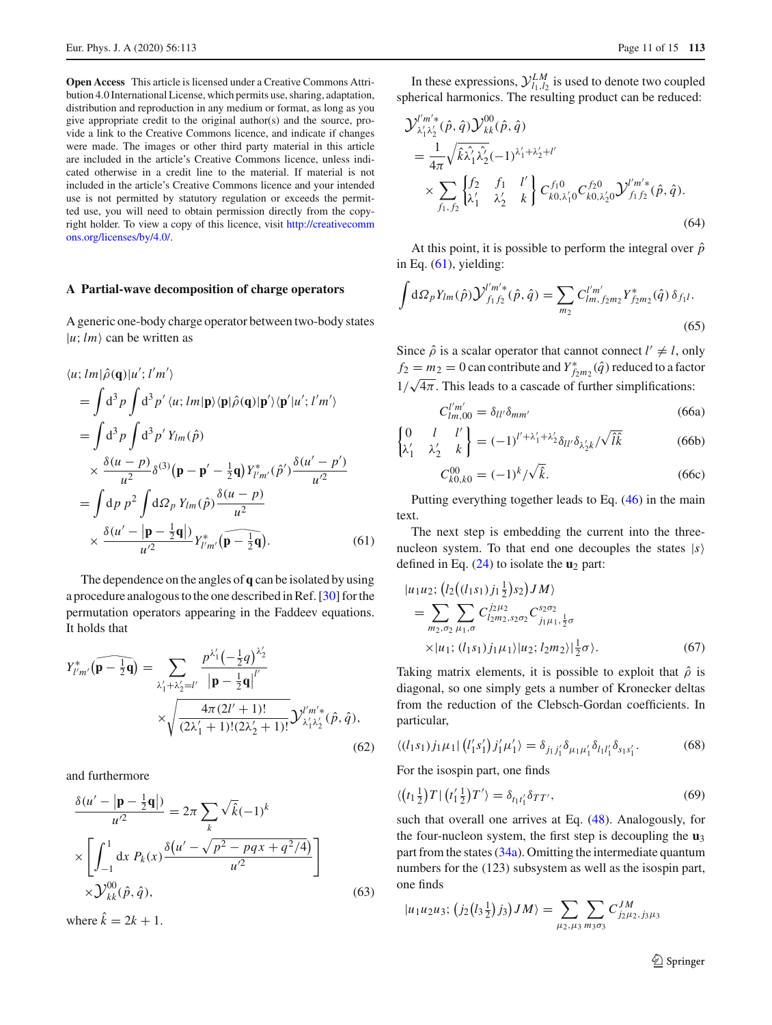**Open Access** This article is licensed under a Creative Commons Attribution 4.0 International License, which permits use, sharing, adaptation, distribution and reproduction in any medium or format, as long as you give appropriate credit to the original author(s) and the source, provide a link to the Creative Commons licence, and indicate if changes were made. The images or other third party material in this article are included in the article's Creative Commons licence, unless indicated otherwise in a credit line to the material. If material is not included in the article's Creative Commons licence and your intended use is not permitted by statutory regulation or exceeds the permitted use, you will need to obtain permission directly from the copyright holder. To view a copy of this licence, visit [http://creativecomm](http://creativecommons.org/licenses/by/4.0/) [ons.org/licenses/by/4.0/.](http://creativecommons.org/licenses/by/4.0/)

## **A Partial-wave decomposition of charge operators**

A generic one-body charge operator between two-body states  $|u; lm\rangle$  can be written as

$$
\langle u; lm|\hat{\rho}(\mathbf{q})|u'; l'm'\rangle
$$
  
=  $\int d^3p \int d^3p' \langle u; lm|\mathbf{p}\rangle \langle \mathbf{p}|\hat{\rho}(\mathbf{q})|\mathbf{p}'\rangle \langle \mathbf{p}'|u'; l'm'\rangle$   
=  $\int d^3p \int d^3p' Y_{lm}(\hat{p})$   
 $\times \frac{\delta(u-p)}{u^2} \delta^{(3)}(\mathbf{p}-\mathbf{p}'-\frac{1}{2}\mathbf{q})Y_{l'm'}^*(\hat{p}')\frac{\delta(u'-p')}{u'^2}$   
=  $\int d p \ p^2 \int d \Omega_p Y_{lm}(\hat{p})\frac{\delta(u-p)}{u^2}$   
 $\times \frac{\delta(u'-|\mathbf{p}-\frac{1}{2}\mathbf{q}|)}{u'^2}Y_{l'm'}^*(\widehat{\mathbf{p}-\frac{1}{2}\mathbf{q}}).$  (61)

The dependence on the angles of **q** can be isolated by using a procedure analogous to the one described in Ref. [\[30](#page-13-23)] for the permutation operators appearing in the Faddeev equations. It holds that

$$
Y_{l'm'}^{*}(\widehat{\mathbf{p} - \frac{1}{2}\mathbf{q}}) = \sum_{\lambda'_1 + \lambda'_2 = l'} \frac{p^{\lambda'_1}(-\frac{1}{2}q)^{\lambda'_2}}{|\mathbf{p} - \frac{1}{2}\mathbf{q}|^{l'}} \times \sqrt{\frac{4\pi (2l'+1)!}{(2\lambda'_1 + 1)!(2\lambda'_2 + 1)!}} \mathcal{Y}_{\lambda'_1 \lambda'_2}^{l'm'*}(\hat{p}, \hat{q}),
$$
\n(62)

and furthermore

$$
\frac{\delta(u' - |\mathbf{p} - \frac{1}{2}\mathbf{q}|)}{u'^2} = 2\pi \sum_{k} \sqrt{\hat{k}} (-1)^k
$$
  
 
$$
\times \left[ \int_{-1}^{1} dx \ P_k(x) \frac{\delta(u' - \sqrt{p^2 - pqx + q^2/4})}{u'^2} \right]
$$
  
 
$$
\times \mathcal{Y}_{kk}^{00}(\hat{p}, \hat{q}),
$$
 (63)

where  $\hat{k} = 2k + 1$ .

In these expressions,  $\mathcal{Y}_{l_1, l_2}^{LM}$  is used to denote two coupled spherical harmonics. The resulting product can be reduced:

$$
\mathcal{Y}_{\lambda'_1 \lambda'_2}^{\prime'm'*}(\hat{p}, \hat{q}) \mathcal{Y}_{kk}^{00}(\hat{p}, \hat{q})
$$
\n
$$
= \frac{1}{4\pi} \sqrt{\hat{k}\hat{\lambda}'_1 \hat{\lambda}'_2} (-1)^{\lambda'_1 + \lambda'_2 + l'}
$$
\n
$$
\times \sum_{f_1, f_2} \begin{Bmatrix} f_2 & f_1 & l' \\ \lambda'_1 & \lambda'_2 & k \end{Bmatrix} C_{k0, \lambda'_1 0}^{f_1 0} C_{k0, \lambda'_2 0}^{f_2 0} \mathcal{Y}_{f_1 f_2}^{\prime'm'*}(\hat{p}, \hat{q}).
$$
\n(64)

At this point, it is possible to perform the integral over  $\hat{p}$ in Eq.  $(61)$ , yielding:

$$
\int d\Omega_p Y_{lm}(\hat{p}) \mathcal{Y}_{f_1 f_2}^{l'm'*}(\hat{p}, \hat{q}) = \sum_{m_2} C_{lm, f_2 m_2}^{l'm'} Y_{f_2 m_2}^*(\hat{q}) \, \delta_{f_1 l}.
$$
\n(65)

Since  $\hat{\rho}$  is a scalar operator that cannot connect  $l' \neq l$ , only  $f_2 = m_2 = 0$  can contribute and  $Y^*_{f_2m_2}(\hat{q})$  reduced to a factor  $1/\sqrt{4\pi}$ . This leads to a cascade of further simplifications:

$$
C_{lm,00}^{l'm'} = \delta_{ll'}\delta_{mm'} \tag{66a}
$$

$$
\begin{Bmatrix} 0 & l & l' \\ \lambda'_1 & \lambda'_2 & k \end{Bmatrix} = (-1)^{l' + \lambda'_1 + \lambda'_2} \delta_{ll'} \delta_{\lambda'_2 k} / \sqrt{\hat{l}\hat{k}}
$$
(66b)

$$
C_{k0,k0}^{00} = (-1)^k / \sqrt{\hat{k}}.
$$
 (66c)

<span id="page-10-0"></span>Putting everything together leads to Eq. [\(46\)](#page-7-0) in the main text.

The next step is embedding the current into the threenucleon system. To that end one decouples the states |*s* defined in Eq. [\(24\)](#page-3-5) to isolate the **u**<sup>2</sup> part:

$$
|u_1u_2; (l_2((l_1s_1)j_1\frac{1}{2})s_2)JM\rangle
$$
  
= 
$$
\sum_{m_2,\sigma_2} \sum_{\mu_1,\sigma} C_{l_2m_2,s_2\sigma_2}^{j_2\mu_2} C_{j_1\mu_1,\frac{1}{2}\sigma}^{s_2\sigma_2}
$$
  
×|u\_1; (l<sub>1</sub>s<sub>1</sub>)j<sub>1</sub>µ<sub>1</sub>)|u<sub>2</sub>; l<sub>2</sub>m<sub>2</sub>|| $\frac{1}{2}\sigma$  }. (67)

Taking matrix elements, it is possible to exploit that  $\hat{\rho}$  is diagonal, so one simply gets a number of Kronecker deltas from the reduction of the Clebsch-Gordan coefficients. In particular,

$$
\langle (l_1s_1) j_1 \mu_1 | (l'_1s'_1) j'_1 \mu'_1 \rangle = \delta_{j_1j'_1} \delta_{\mu_1\mu'_1} \delta_{l_1l'_1} \delta_{s_1s'_1}.
$$
 (68)

For the isospin part, one finds

$$
\langle \left(t_1 \frac{1}{2}\right) T \mid \left(t_1' \frac{1}{2}\right) T' \rangle = \delta_{t_1 t_1'} \delta_{T T'},\tag{69}
$$

such that overall one arrives at Eq. [\(48\)](#page-7-9). Analogously, for the four-nucleon system, the first step is decoupling the **u**<sup>3</sup> part from the states [\(34a\)](#page-4-6). Omitting the intermediate quantum numbers for the (123) subsystem as well as the isospin part, one finds

$$
|u_1u_2u_3; (j_2(l_3\frac{1}{2})j_3)JM\rangle = \sum_{\mu_2,\mu_3}\sum_{m_3\sigma_3} C_{j_2\mu_2,j_3\mu_3}^{JM}
$$

<sup>2</sup> Springer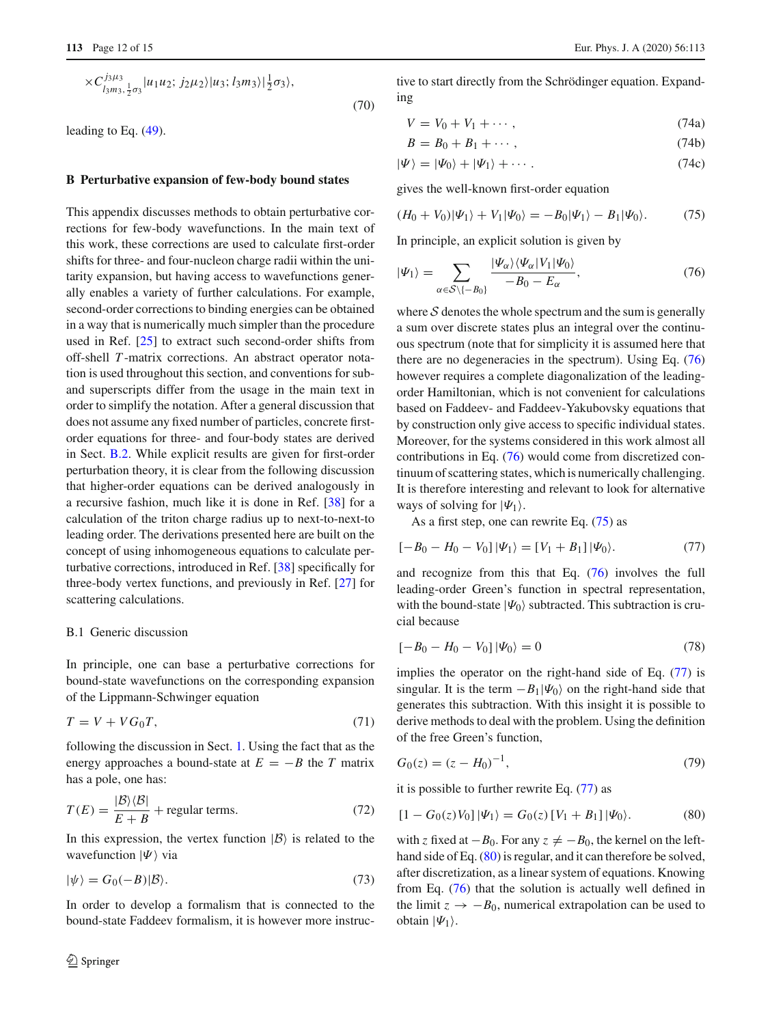$$
\times C_{l_3m_3,\frac{1}{2}\sigma_3}^{j_3\mu_3} |u_1u_2; j_2\mu_2\rangle |u_3; l_3m_3\rangle |\frac{1}{2}\sigma_3\rangle, \tag{70}
$$

leading to Eq. [\(49\)](#page-7-10).

#### **B Perturbative expansion of few-body bound states**

This appendix discusses methods to obtain perturbative corrections for few-body wavefunctions. In the main text of this work, these corrections are used to calculate first-order shifts for three- and four-nucleon charge radii within the unitarity expansion, but having access to wavefunctions generally enables a variety of further calculations. For example, second-order corrections to binding energies can be obtained in a way that is numerically much simpler than the procedure used in Ref. [\[25](#page-13-18)] to extract such second-order shifts from off-shell *T* -matrix corrections. An abstract operator notation is used throughout this section, and conventions for suband superscripts differ from the usage in the main text in order to simplify the notation. After a general discussion that does not assume any fixed number of particles, concrete firstorder equations for three- and four-body states are derived in Sect. [B.2.](#page-12-0) While explicit results are given for first-order perturbation theory, it is clear from the following discussion that higher-order equations can be derived analogously in a recursive fashion, much like it is done in Ref. [\[38](#page-14-2)] for a calculation of the triton charge radius up to next-to-next-to leading order. The derivations presented here are built on the concept of using inhomogeneous equations to calculate perturbative corrections, introduced in Ref. [\[38](#page-14-2)] specifically for three-body vertex functions, and previously in Ref. [\[27](#page-13-20)] for scattering calculations.

## <span id="page-11-4"></span>B.1 Generic discussion

In principle, one can base a perturbative corrections for bound-state wavefunctions on the corresponding expansion of the Lippmann-Schwinger equation

$$
T = V + VG_0T,\t(71)
$$

following the discussion in Sect. [1.](#page-0-4) Using the fact that as the energy approaches a bound-state at  $E = -B$  the *T* matrix has a pole, one has:

$$
T(E) = \frac{|\mathcal{B}\rangle\langle\mathcal{B}|}{E + B} + \text{regular terms.}
$$
 (72)

In this expression, the vertex function  $|B\rangle$  is related to the wavefunction  $|\Psi\rangle$  via

$$
|\psi\rangle = G_0(-B)|B\rangle. \tag{73}
$$

In order to develop a formalism that is connected to the bound-state Faddeev formalism, it is however more instruc-

tive to start directly from the Schrödinger equation. Expanding

$$
V = V_0 + V_1 + \cdots, \qquad (74a)
$$

$$
B = B_0 + B_1 + \cdots, \tag{74b}
$$

$$
|\Psi\rangle = |\Psi_0\rangle + |\Psi_1\rangle + \cdots. \tag{74c}
$$

gives the well-known first-order equation

<span id="page-11-1"></span>
$$
(H_0 + V_0)|\Psi_1\rangle + V_1|\Psi_0\rangle = -B_0|\Psi_1\rangle - B_1|\Psi_0\rangle. \tag{75}
$$

In principle, an explicit solution is given by

<span id="page-11-0"></span>
$$
|\Psi_1\rangle = \sum_{\alpha \in \mathcal{S}\backslash \{-B_0\}} \frac{|\Psi_{\alpha}\rangle \langle \Psi_{\alpha}| V_1 | \Psi_0 \rangle}{-B_0 - E_{\alpha}},\tag{76}
$$

where  $S$  denotes the whole spectrum and the sum is generally a sum over discrete states plus an integral over the continuous spectrum (note that for simplicity it is assumed here that there are no degeneracies in the spectrum). Using Eq. [\(76\)](#page-11-0) however requires a complete diagonalization of the leadingorder Hamiltonian, which is not convenient for calculations based on Faddeev- and Faddeev-Yakubovsky equations that by construction only give access to specific individual states. Moreover, for the systems considered in this work almost all contributions in Eq. [\(76\)](#page-11-0) would come from discretized continuum of scattering states, which is numerically challenging. It is therefore interesting and relevant to look for alternative ways of solving for  $|\Psi_1\rangle$ .

As a first step, one can rewrite Eq. [\(75\)](#page-11-1) as

<span id="page-11-2"></span>
$$
[-B_0 - H_0 - V_0] |\Psi_1\rangle = [V_1 + B_1] |\Psi_0\rangle.
$$
 (77)

and recognize from this that Eq. [\(76\)](#page-11-0) involves the full leading-order Green's function in spectral representation, with the bound-state  $|\Psi_0\rangle$  subtracted. This subtraction is crucial because

$$
[-B_0 - H_0 - V_0] |\Psi_0\rangle = 0 \tag{78}
$$

implies the operator on the right-hand side of Eq. [\(77\)](#page-11-2) is singular. It is the term  $-B_1|\Psi_0\rangle$  on the right-hand side that generates this subtraction. With this insight it is possible to derive methods to deal with the problem. Using the definition of the free Green's function,

$$
G_0(z) = (z - H_0)^{-1},\tag{79}
$$

it is possible to further rewrite Eq. [\(77\)](#page-11-2) as

<span id="page-11-3"></span>
$$
[1 - G_0(z)V_0] |\Psi_1\rangle = G_0(z) [V_1 + B_1] |\Psi_0\rangle.
$$
 (80)

with *z* fixed at  $-B_0$ . For any  $z \neq -B_0$ , the kernel on the left-hand side of Eq. [\(80\)](#page-11-3) is regular, and it can therefore be solved, after discretization, as a linear system of equations. Knowing from Eq. [\(76\)](#page-11-0) that the solution is actually well defined in the limit  $z \rightarrow -B_0$ , numerical extrapolation can be used to obtain  $|\Psi_1\rangle$ .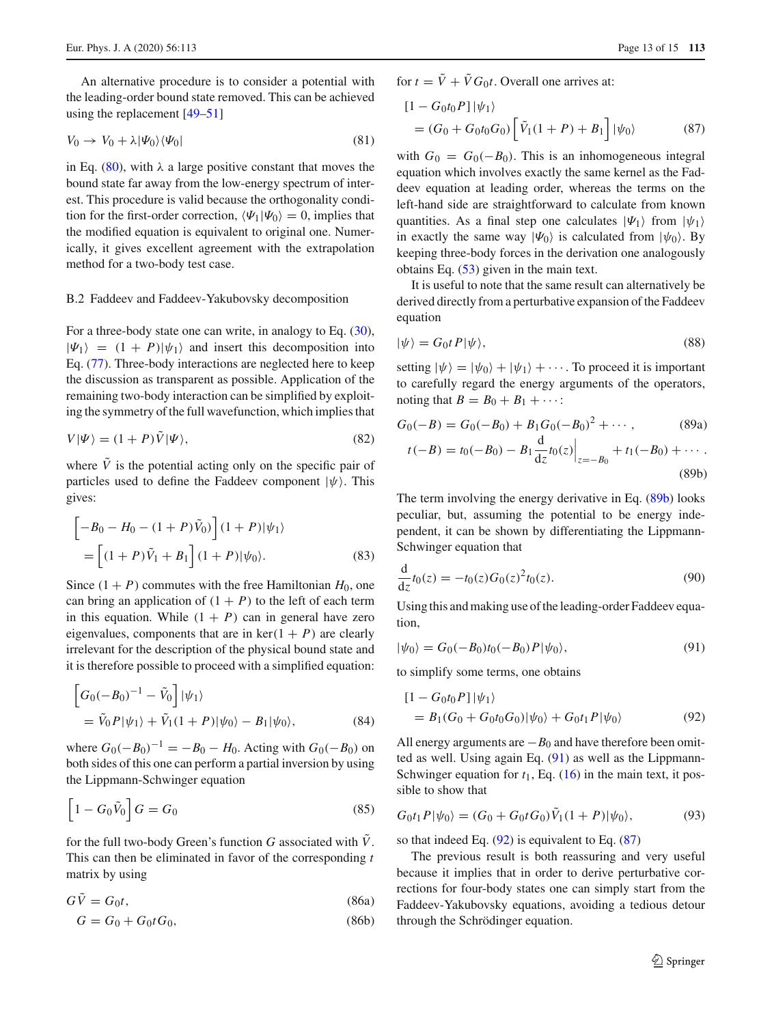An alternative procedure is to consider a potential with the leading-order bound state removed. This can be achieved using the replacement [\[49](#page-14-13)[–51](#page-14-14)]

<span id="page-12-5"></span>
$$
V_0 \to V_0 + \lambda |\Psi_0\rangle\langle\Psi_0| \tag{81}
$$

in Eq. [\(80\)](#page-11-3), with  $\lambda$  a large positive constant that moves the bound state far away from the low-energy spectrum of interest. This procedure is valid because the orthogonality condition for the first-order correction,  $\langle \Psi_1 | \Psi_0 \rangle = 0$ , implies that the modified equation is equivalent to original one. Numerically, it gives excellent agreement with the extrapolation method for a two-body test case.

### <span id="page-12-0"></span>B.2 Faddeev and Faddeev-Yakubovsky decomposition

For a three-body state one can write, in analogy to Eq. [\(30\)](#page-4-0),  $|\Psi_1\rangle = (1 + P)|\psi_1\rangle$  and insert this decomposition into Eq. [\(77\)](#page-11-2). Three-body interactions are neglected here to keep the discussion as transparent as possible. Application of the remaining two-body interaction can be simplified by exploiting the symmetry of the full wavefunction, which implies that

$$
V|\Psi\rangle = (1+P)\tilde{V}|\Psi\rangle, \tag{82}
$$

where  $\tilde{V}$  is the potential acting only on the specific pair of particles used to define the Faddeev component  $|\psi\rangle$ . This gives:

$$
\begin{aligned} & \left[ -B_0 - H_0 - (1+P)\tilde{V}_0 \right] (1+P)|\psi_1\rangle \\ &= \left[ (1+P)\tilde{V}_1 + B_1 \right] (1+P)|\psi_0\rangle. \end{aligned} \tag{83}
$$

Since  $(1 + P)$  commutes with the free Hamiltonian  $H_0$ , one can bring an application of  $(1 + P)$  to the left of each term in this equation. While  $(1 + P)$  can in general have zero eigenvalues, components that are in  $\ker(1 + P)$  are clearly irrelevant for the description of the physical bound state and it is therefore possible to proceed with a simplified equation:

$$
\begin{aligned} \left[G_0(-B_0)^{-1} - \tilde{V}_0\right] |\psi_1\rangle \\ &= \tilde{V}_0 P |\psi_1\rangle + \tilde{V}_1 (1+P) |\psi_0\rangle - B_1 |\psi_0\rangle, \end{aligned} \tag{84}
$$

where  $G_0(-B_0)^{-1} = -B_0 - H_0$ . Acting with  $G_0(-B_0)$  on both sides of this one can perform a partial inversion by using the Lippmann-Schwinger equation

$$
\left[1 - G_0 \tilde{V}_0\right] G = G_0 \tag{85}
$$

for the full two-body Green's function  $G$  associated with  $\dot{V}$ . This can then be eliminated in favor of the corresponding *t* matrix by using

$$
GV = G_0t,\tag{86a}
$$

$$
G = G_0 + G_0 t G_0,
$$
\n(86b)

for  $t = \tilde{V} + \tilde{V} G_0 t$ . Overall one arrives at:

<span id="page-12-4"></span>
$$
[1 - G_0 t_0 P] |\psi_1\rangle
$$
  
=  $(G_0 + G_0 t_0 G_0) [\tilde{V}_1 (1 + P) + B_1] |\psi_0\rangle$  (87)

with  $G_0 = G_0(-B_0)$ . This is an inhomogeneous integral equation which involves exactly the same kernel as the Faddeev equation at leading order, whereas the terms on the left-hand side are straightforward to calculate from known quantities. As a final step one calculates  $|\Psi_1\rangle$  from  $|\psi_1\rangle$ in exactly the same way  $|\Psi_0\rangle$  is calculated from  $|\psi_0\rangle$ . By keeping three-body forces in the derivation one analogously obtains Eq. [\(53\)](#page-7-7) given in the main text.

It is useful to note that the same result can alternatively be derived directly from a perturbative expansion of the Faddeev equation

$$
|\psi\rangle = G_0 t P |\psi\rangle, \tag{88}
$$

setting  $|\psi\rangle = |\psi_0\rangle + |\psi_1\rangle + \cdots$ . To proceed it is important to carefully regard the energy arguments of the operators, noting that  $B = B_0 + B_1 + \cdots$ :

<span id="page-12-1"></span>
$$
G_0(-B) = G_0(-B_0) + B_1 G_0(-B_0)^2 + \cdots, \qquad (89a)
$$

$$
t(-B) = t_0(-B_0) - B_1 \frac{d}{dz} t_0(z) \Big|_{z=-B_0} + t_1(-B_0) + \cdots
$$
\n(89b)

The term involving the energy derivative in Eq. [\(89b\)](#page-12-1) looks peculiar, but, assuming the potential to be energy independent, it can be shown by differentiating the Lippmann-Schwinger equation that

$$
\frac{d}{dz}t_0(z) = -t_0(z)G_0(z)^2t_0(z).
$$
\n(90)

Using this and making use of the leading-order Faddeev equation,

<span id="page-12-2"></span>
$$
|\psi_0\rangle = G_0(-B_0)t_0(-B_0)P|\psi_0\rangle, \qquad (91)
$$

to simplify some terms, one obtains

<span id="page-12-3"></span>
$$
\begin{aligned} \left[1 - G_0 t_0 P\right] |\psi_1\rangle \\ &= B_1 (G_0 + G_0 t_0 G_0) |\psi_0\rangle + G_0 t_1 P |\psi_0\rangle \end{aligned} \tag{92}
$$

All energy arguments are  $-B_0$  and have therefore been omitted as well. Using again Eq. [\(91\)](#page-12-2) as well as the Lippmann-Schwinger equation for  $t_1$ , Eq.  $(16)$  in the main text, it possible to show that

$$
G_0t_1P|\psi_0\rangle = (G_0 + G_0tG_0)\tilde{V}_1(1+P)|\psi_0\rangle, \tag{93}
$$

so that indeed Eq.  $(92)$  is equivalent to Eq.  $(87)$ 

The previous result is both reassuring and very useful because it implies that in order to derive perturbative corrections for four-body states one can simply start from the Faddeev-Yakubovsky equations, avoiding a tedious detour through the Schrödinger equation.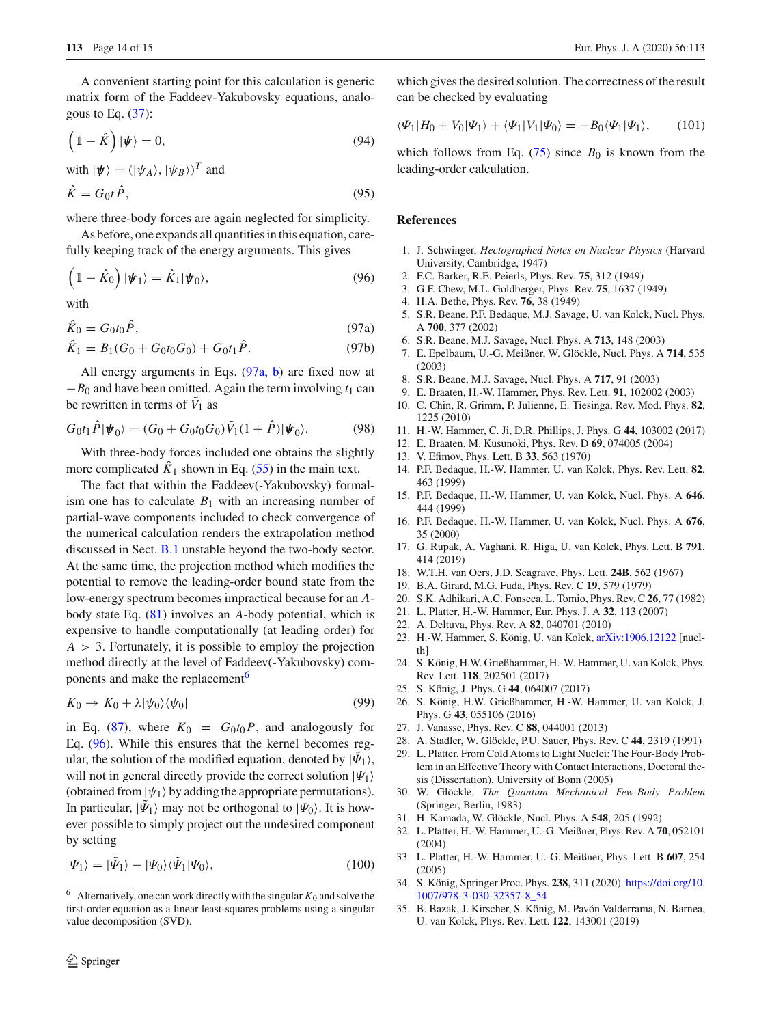A convenient starting point for this calculation is generic matrix form of the Faddeev-Yakubovsky equations, analogous to Eq.  $(37)$ :

$$
\left(1 - \hat{K}\right)|\psi\rangle = 0,\tag{94}
$$

with 
$$
|\psi\rangle = (|\psi_A\rangle, |\psi_B\rangle)^T
$$
 and  
\n $\hat{K} = G_0 t \hat{P},$  (95)

where three-body forces are again neglected for simplicity.

As before, one expands all quantities in this equation, carefully keeping track of the energy arguments. This gives

<span id="page-13-31"></span><span id="page-13-29"></span>
$$
\left(\mathbb{1}-\hat{K}_0\right)|\boldsymbol{\psi}_1\rangle=\hat{K}_1|\boldsymbol{\psi}_0\rangle,\tag{96}
$$

with

$$
\hat{K}_0 = G_0 t_0 \hat{P},\tag{97a}
$$

$$
\hat{K}_1 = B_1(G_0 + G_0 t_0 G_0) + G_0 t_1 \hat{P}.
$$
\n(97b)

All energy arguments in Eqs. [\(97a, b\)](#page-13-29) are fixed now at  $-B<sub>0</sub>$  and have been omitted. Again the term involving  $t<sub>1</sub>$  can be rewritten in terms of  $V_1$  as

$$
G_0 t_1 \hat{P} |\psi_0\rangle = (G_0 + G_0 t_0 G_0) \tilde{V}_1 (1 + \hat{P}) |\psi_0\rangle. \tag{98}
$$

With three-body forces included one obtains the slightly more complicated  $\hat{K}_1$  shown in Eq. [\(55\)](#page-8-1) in the main text.

The fact that within the Faddeev(-Yakubovsky) formalism one has to calculate  $B_1$  with an increasing number of partial-wave components included to check convergence of the numerical calculation renders the extrapolation method discussed in Sect. [B.1](#page-11-4) unstable beyond the two-body sector. At the same time, the projection method which modifies the potential to remove the leading-order bound state from the low-energy spectrum becomes impractical because for an *A*body state Eq. [\(81\)](#page-12-5) involves an *A*-body potential, which is expensive to handle computationally (at leading order) for  $A > 3$ . Fortunately, it is possible to employ the projection method directly at the level of Faddeev(-Yakubovsky) components and make the replacement<sup>6</sup>

$$
K_0 \to K_0 + \lambda |\psi_0\rangle\langle\psi_0| \tag{99}
$$

in Eq. [\(87\)](#page-12-4), where  $K_0 = G_0 t_0 P$ , and analogously for Eq. [\(96\)](#page-13-31). While this ensures that the kernel becomes regular, the solution of the modified equation, denoted by  $|\Psi_1\rangle$ , will not in general directly provide the correct solution  $|\Psi_1\rangle$ (obtained from  $|\psi_1\rangle$  by adding the appropriate permutations). In particular,  $|\Psi_1\rangle$  may not be orthogonal to  $|\Psi_0\rangle$ . It is however possible to simply project out the undesired component by setting

$$
|\Psi_1\rangle = |\tilde{\Psi}_1\rangle - |\Psi_0\rangle \langle \tilde{\Psi}_1 | \Psi_0\rangle, \qquad (100)
$$

which gives the desired solution. The correctness of the result can be checked by evaluating

$$
\langle \Psi_1 | H_0 + V_0 | \Psi_1 \rangle + \langle \Psi_1 | V_1 | \Psi_0 \rangle = -B_0 \langle \Psi_1 | \Psi_1 \rangle, \qquad (101)
$$

which follows from Eq. [\(75\)](#page-11-1) since  $B_0$  is known from the leading-order calculation.

## **References**

- <span id="page-13-0"></span>1. J. Schwinger, *Hectographed Notes on Nuclear Physics* (Harvard University, Cambridge, 1947)
- 2. F.C. Barker, R.E. Peierls, Phys. Rev. **75**, 312 (1949)
- 3. G.F. Chew, M.L. Goldberger, Phys. Rev. **75**, 1637 (1949)
- <span id="page-13-1"></span>4. H.A. Bethe, Phys. Rev. **76**, 38 (1949)
- <span id="page-13-2"></span>5. S.R. Beane, P.F. Bedaque, M.J. Savage, U. van Kolck, Nucl. Phys. A **700**, 377 (2002)
- 6. S.R. Beane, M.J. Savage, Nucl. Phys. A **713**, 148 (2003)
- 7. E. Epelbaum, U.-G. Meißner, W. Glöckle, Nucl. Phys. A **714**, 535 (2003)
- 8. S.R. Beane, M.J. Savage, Nucl. Phys. A **717**, 91 (2003)
- <span id="page-13-3"></span>9. E. Braaten, H.-W. Hammer, Phys. Rev. Lett. **91**, 102002 (2003)
- <span id="page-13-4"></span>10. C. Chin, R. Grimm, P. Julienne, E. Tiesinga, Rev. Mod. Phys. **82**, 1225 (2010)
- <span id="page-13-5"></span>11. H.-W. Hammer, C. Ji, D.R. Phillips, J. Phys. G **44**, 103002 (2017)
- <span id="page-13-6"></span>12. E. Braaten, M. Kusunoki, Phys. Rev. D **69**, 074005 (2004)
- <span id="page-13-7"></span>13. V. Efimov, Phys. Lett. B **33**, 563 (1970)
- <span id="page-13-8"></span>14. P.F. Bedaque, H.-W. Hammer, U. van Kolck, Phys. Rev. Lett. **82**, 463 (1999)
- 15. P.F. Bedaque, H.-W. Hammer, U. van Kolck, Nucl. Phys. A **646**, 444 (1999)
- <span id="page-13-9"></span>16. P.F. Bedaque, H.-W. Hammer, U. van Kolck, Nucl. Phys. A **676**, 35 (2000)
- <span id="page-13-10"></span>17. G. Rupak, A. Vaghani, R. Higa, U. van Kolck, Phys. Lett. B **791**, 414 (2019)
- <span id="page-13-11"></span>18. W.T.H. van Oers, J.D. Seagrave, Phys. Lett. **24B**, 562 (1967)
- <span id="page-13-12"></span>19. B.A. Girard, M.G. Fuda, Phys. Rev. C **19**, 579 (1979)
- <span id="page-13-13"></span>20. S.K. Adhikari, A.C. Fonseca, L. Tomio, Phys. Rev. C **26**, 77 (1982)
- <span id="page-13-14"></span>21. L. Platter, H.-W. Hammer, Eur. Phys. J. A **32**, 113 (2007)
- <span id="page-13-15"></span>22. A. Deltuva, Phys. Rev. A **82**, 040701 (2010)
- <span id="page-13-16"></span>23. H.-W. Hammer, S. König, U. van Kolck, [arXiv:1906.12122](http://arxiv.org/abs/1906.12122) [nuclth]
- <span id="page-13-17"></span>24. S. König, H.W. Grießhammer, H.-W. Hammer, U. van Kolck, Phys. Rev. Lett. **118**, 202501 (2017)
- <span id="page-13-18"></span>25. S. König, J. Phys. G **44**, 064007 (2017)
- <span id="page-13-19"></span>26. S. König, H.W. Grießhammer, H.-W. Hammer, U. van Kolck, J. Phys. G **43**, 055106 (2016)
- <span id="page-13-20"></span>27. J. Vanasse, Phys. Rev. C **88**, 044001 (2013)
- <span id="page-13-21"></span>28. A. Stadler, W. Glöckle, P.U. Sauer, Phys. Rev. C **44**, 2319 (1991)
- <span id="page-13-22"></span>29. L. Platter, From Cold Atoms to Light Nuclei: The Four-Body Problem in an Effective Theory with Contact Interactions, Doctoral thesis (Dissertation), University of Bonn (2005)
- <span id="page-13-23"></span>30. W. Glöckle, *The Quantum Mechanical Few-Body Problem* (Springer, Berlin, 1983)
- <span id="page-13-24"></span>31. H. Kamada, W. Glöckle, Nucl. Phys. A **548**, 205 (1992)
- <span id="page-13-25"></span>32. L. Platter, H.-W. Hammer, U.-G. Meißner, Phys. Rev. A **70**, 052101 (2004)
- <span id="page-13-26"></span>33. L. Platter, H.-W. Hammer, U.-G. Meißner, Phys. Lett. B **607**, 254 (2005)
- <span id="page-13-27"></span>34. S. König, Springer Proc. Phys. **238**, 311 (2020). [https://doi.org/10.](https://doi.org/10.1007/978-3-030-32357-8_54) [1007/978-3-030-32357-8\\_54](https://doi.org/10.1007/978-3-030-32357-8_54)
- <span id="page-13-28"></span>35. B. Bazak, J. Kirscher, S. König, M. Pavón Valderrama, N. Barnea, U. van Kolck, Phys. Rev. Lett. **122**, 143001 (2019)

<span id="page-13-30"></span><sup>&</sup>lt;sup>6</sup> Alternatively, one can work directly with the singular  $K_0$  and solve the first-order equation as a linear least-squares problems using a singular value decomposition (SVD).